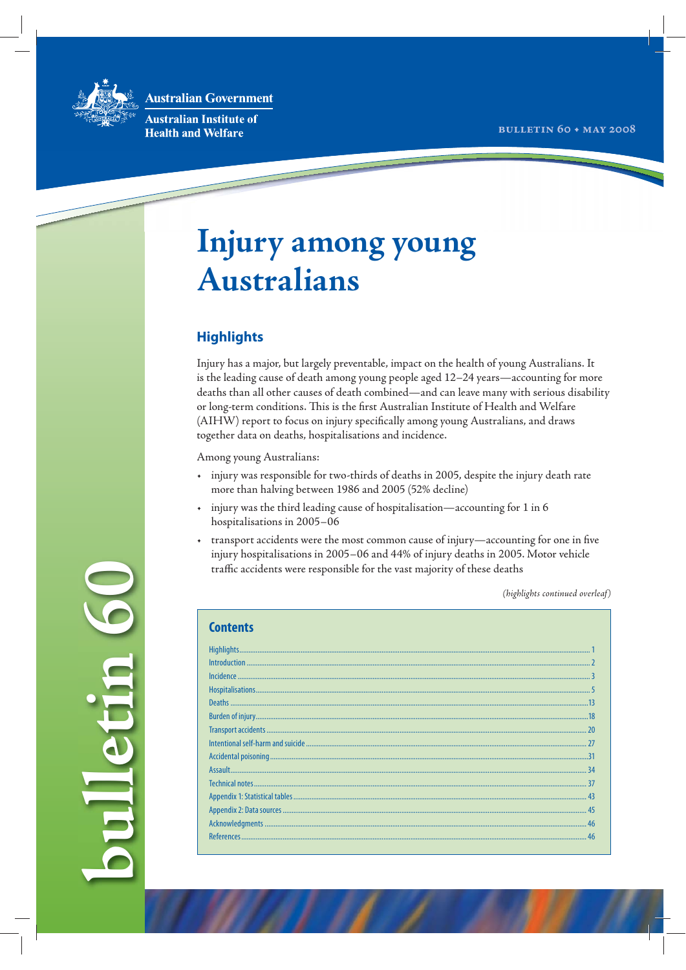**Australian Government** 



pulletin 6

**Australian Institute of Health and Welfare** 

## Injury among young **Australians**

## **Highlights**

Injury has a major, but largely preventable, impact on the health of young Australians. It is the leading cause of death among young people aged 12-24 years-accounting for more deaths than all other causes of death combined—and can leave many with serious disability or long-term conditions. This is the first Australian Institute of Health and Welfare (AIHW) report to focus on injury specifically among young Australians, and draws together data on deaths, hospitalisations and incidence.

Among young Australians:

- injury was responsible for two-thirds of deaths in 2005, despite the injury death rate  $\ddot{\phantom{0}}$ more than halving between 1986 and 2005 (52% decline)
- injury was the third leading cause of hospitalisation-accounting for 1 in 6  $\bullet$  . hospitalisations in 2005-06
- transport accidents were the most common cause of injury—accounting for one in five injury hospitalisations in 2005-06 and 44% of injury deaths in 2005. Motor vehicle traffic accidents were responsible for the vast majority of these deaths

(highlights continued overleaf)

| umments |
|---------|
|         |
|         |
|         |
|         |
|         |
|         |
|         |
|         |
|         |
|         |
|         |
|         |
|         |
|         |
|         |
|         |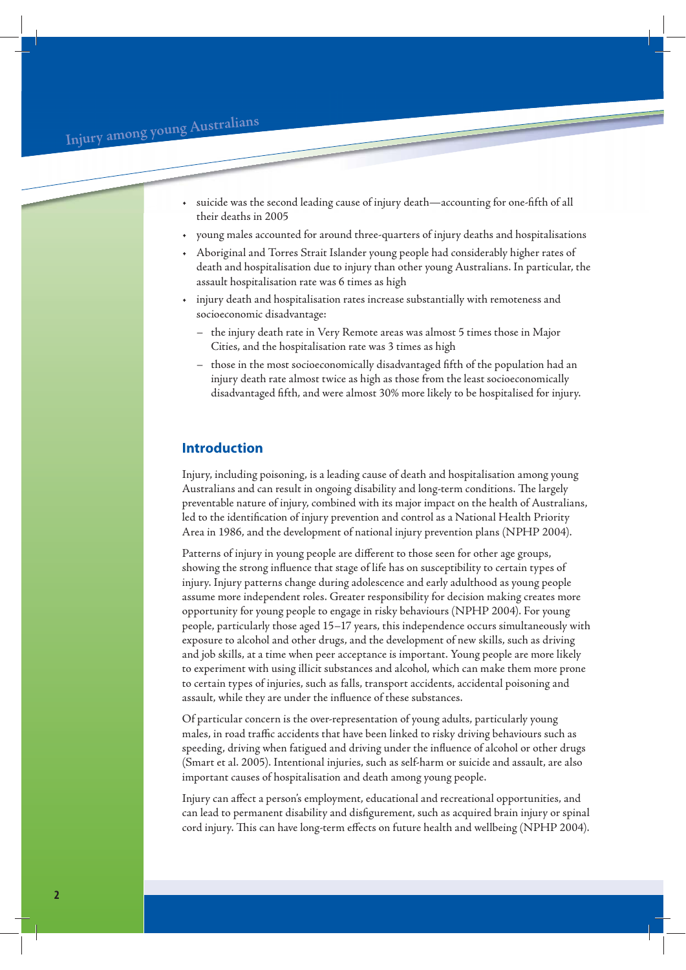- suicide was the second leading cause of injury death—accounting for one-fifth of all their deaths in 2005
- young males accounted for around three-quarters of injury deaths and hospitalisations
- Aboriginal and Torres Strait Islander young people had considerably higher rates of death and hospitalisation due to injury than other young Australians. In particular, the assault hospitalisation rate was 6 times as high
- injury death and hospitalisation rates increase substantially with remoteness and socioeconomic disadvantage:
	- the injury death rate in Very Remote areas was almost 5 times those in Major Cities, and the hospitalisation rate was 3 times as high
	- those in the most socioeconomically disadvantaged fifth of the population had an injury death rate almost twice as high as those from the least socioeconomically disadvantaged fifth, and were almost 30% more likely to be hospitalised for injury.

## **Introduction**

Injury, including poisoning, is a leading cause of death and hospitalisation among young Australians and can result in ongoing disability and long-term conditions. The largely preventable nature of injury, combined with its major impact on the health of Australians, led to the identification of injury prevention and control as a National Health Priority Area in 1986, and the development of national injury prevention plans (NPHP 2004).

Patterns of injury in young people are different to those seen for other age groups, showing the strong influence that stage of life has on susceptibility to certain types of injury. Injury patterns change during adolescence and early adulthood as young people assume more independent roles. Greater responsibility for decision making creates more opportunity for young people to engage in risky behaviours (NPHP 2004). For young people, particularly those aged 15–17 years, this independence occurs simultaneously with exposure to alcohol and other drugs, and the development of new skills, such as driving and job skills, at a time when peer acceptance is important. Young people are more likely to experiment with using illicit substances and alcohol, which can make them more prone to certain types of injuries, such as falls, transport accidents, accidental poisoning and assault, while they are under the influence of these substances.

Of particular concern is the over-representation of young adults, particularly young males, in road traffic accidents that have been linked to risky driving behaviours such as speeding, driving when fatigued and driving under the influence of alcohol or other drugs (Smart et al. 2005). Intentional injuries, such as self-harm or suicide and assault, are also important causes of hospitalisation and death among young people.

Injury can affect a person's employment, educational and recreational opportunities, and can lead to permanent disability and disfigurement, such as acquired brain injury or spinal cord injury. This can have long-term effects on future health and wellbeing (NPHP 2004).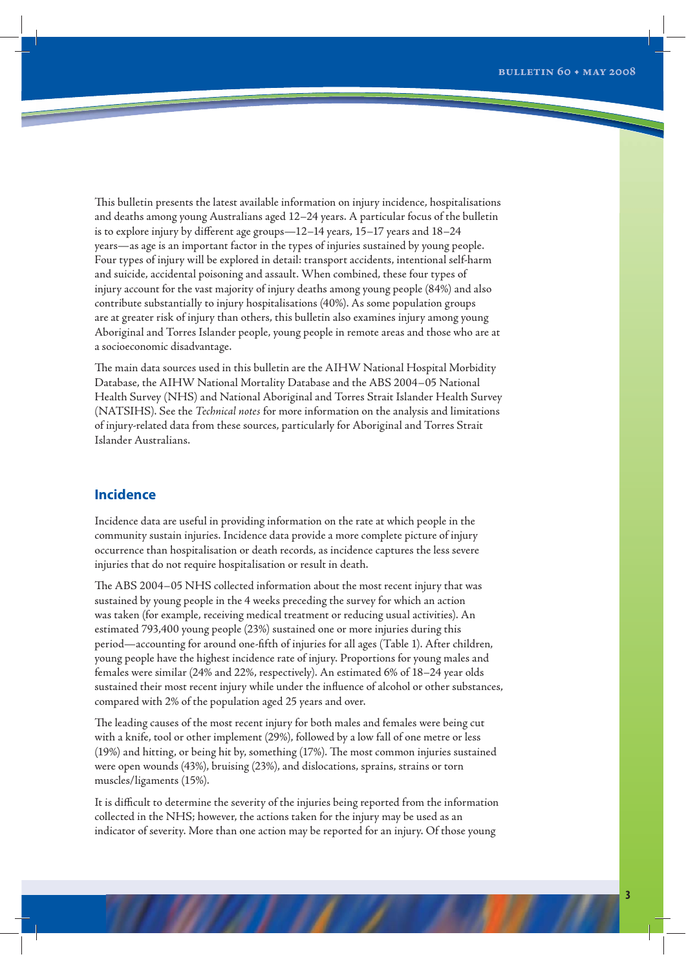This bulletin presents the latest available information on injury incidence, hospitalisations and deaths among young Australians aged 12–24 years. A particular focus of the bulletin is to explore injury by different age groups—12–14 years, 15–17 years and 18–24 years—as age is an important factor in the types of injuries sustained by young people. Four types of injury will be explored in detail: transport accidents, intentional self-harm and suicide, accidental poisoning and assault. When combined, these four types of injury account for the vast majority of injury deaths among young people (84%) and also contribute substantially to injury hospitalisations (40%). As some population groups are at greater risk of injury than others, this bulletin also examines injury among young Aboriginal and Torres Islander people, young people in remote areas and those who are at a socioeconomic disadvantage.

The main data sources used in this bulletin are the AIHW National Hospital Morbidity Database, the AIHW National Mortality Database and the ABS 2004–05 National Health Survey (NHS) and National Aboriginal and Torres Strait Islander Health Survey (NATSIHS). See the *Technical notes* for more information on the analysis and limitations of injury-related data from these sources, particularly for Aboriginal and Torres Strait Islander Australians.

## **Incidence**

Incidence data are useful in providing information on the rate at which people in the community sustain injuries. Incidence data provide a more complete picture of injury occurrence than hospitalisation or death records, as incidence captures the less severe injuries that do not require hospitalisation or result in death.

The ABS 2004–05 NHS collected information about the most recent injury that was sustained by young people in the 4 weeks preceding the survey for which an action was taken (for example, receiving medical treatment or reducing usual activities). An estimated 793,400 young people (23%) sustained one or more injuries during this period—accounting for around one-fifth of injuries for all ages (Table 1). After children, young people have the highest incidence rate of injury. Proportions for young males and females were similar (24% and 22%, respectively). An estimated 6% of 18–24 year olds sustained their most recent injury while under the influence of alcohol or other substances, compared with 2% of the population aged 25 years and over.

The leading causes of the most recent injury for both males and females were being cut with a knife, tool or other implement (29%), followed by a low fall of one metre or less (19%) and hitting, or being hit by, something (17%). The most common injuries sustained were open wounds (43%), bruising (23%), and dislocations, sprains, strains or torn muscles/ligaments (15%).

It is difficult to determine the severity of the injuries being reported from the information collected in the NHS; however, the actions taken for the injury may be used as an indicator of severity. More than one action may be reported for an injury. Of those young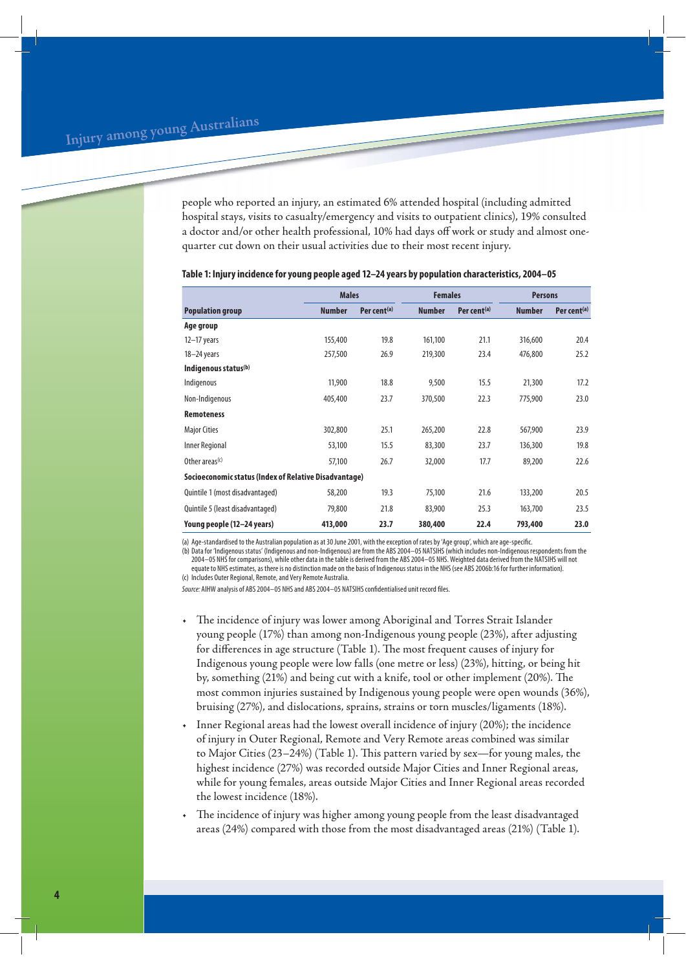people who reported an injury, an estimated 6% attended hospital (including admitted hospital stays, visits to casualty/emergency and visits to outpatient clinics), 19% consulted a doctor and/or other health professional, 10% had days off work or study and almost onequarter cut down on their usual activities due to their most recent injury.

|                                                       |               | <b>Males</b>            |               | <b>Females</b>          | <b>Persons</b> |                         |
|-------------------------------------------------------|---------------|-------------------------|---------------|-------------------------|----------------|-------------------------|
| <b>Population group</b>                               | <b>Number</b> | Per cent <sup>(a)</sup> | <b>Number</b> | Per cent <sup>(a)</sup> | <b>Number</b>  | Per cent <sup>(a)</sup> |
| Age group                                             |               |                         |               |                         |                |                         |
| $12-17$ years                                         | 155,400       | 19.8                    | 161,100       | 21.1                    | 316,600        | 20.4                    |
| 18-24 years                                           | 257,500       | 26.9                    | 219,300       | 23.4                    | 476,800        | 25.2                    |
| Indigenous status <sup>(b)</sup>                      |               |                         |               |                         |                |                         |
| Indigenous                                            | 11,900        | 18.8                    | 9,500         | 15.5                    | 21,300         | 17.2                    |
| Non-Indigenous                                        | 405,400       | 23.7                    | 370,500       | 22.3                    | 775,900        | 23.0                    |
| <b>Remoteness</b>                                     |               |                         |               |                         |                |                         |
| <b>Major Cities</b>                                   | 302,800       | 25.1                    | 265,200       | 22.8                    | 567,900        | 23.9                    |
| Inner Regional                                        | 53,100        | 15.5                    | 83,300        | 23.7                    | 136,300        | 19.8                    |
| Other areas <sup>(c)</sup>                            | 57,100        | 26.7                    | 32,000        | 17.7                    | 89,200         | 22.6                    |
| Socioeconomic status (Index of Relative Disadvantage) |               |                         |               |                         |                |                         |
| Quintile 1 (most disadvantaged)                       | 58,200        | 19.3                    | 75,100        | 21.6                    | 133,200        | 20.5                    |
| Quintile 5 (least disadvantaged)                      | 79,800        | 21.8                    | 83,900        | 25.3                    | 163,700        | 23.5                    |
| Young people (12-24 years)                            | 413,000       | 23.7                    | 380,400       | 22.4                    | 793,400        | 23.0                    |

#### **Table 1: Injury incidence for young people aged 12–24 years by population characteristics, 2004–05**

(a) Age-standardised to the Australian population as at 30 June 2001, with the exception of rates by 'Age group', which are age-specific.

(b) Data for 'Indigenous status' (Indigenous and non-Indigenous) are from the ABS 2004–05 NATSIHS (which includes non-Indigenous respondents from the 2004–05 NHS for comparisons), while other data in the table is derived from the ABS 2004–05 NHS. Weighted data derived from the NATSIHS will not equate to NHS estimates, as there is no distinction made on the basis of Indigenous status in the NHS (see ABS 2006b:16 for further information).

(c) Includes Outer Regional, Remote, and Very Remote Australia.

Source: AIHW analysis of ABS 2004–05 NHS and ABS 2004–05 NATSIHS confidentialised unit record files.

- The incidence of injury was lower among Aboriginal and Torres Strait Islander young people (17%) than among non-Indigenous young people (23%), after adjusting for differences in age structure (Table 1). The most frequent causes of injury for Indigenous young people were low falls (one metre or less) (23%), hitting, or being hit by, something (21%) and being cut with a knife, tool or other implement (20%). The most common injuries sustained by Indigenous young people were open wounds (36%), bruising (27%), and dislocations, sprains, strains or torn muscles/ligaments (18%).
- Inner Regional areas had the lowest overall incidence of injury (20%); the incidence of injury in Outer Regional, Remote and Very Remote areas combined was similar to Major Cities (23–24%) (Table 1). This pattern varied by sex—for young males, the highest incidence (27%) was recorded outside Major Cities and Inner Regional areas, while for young females, areas outside Major Cities and Inner Regional areas recorded the lowest incidence (18%).
- The incidence of injury was higher among young people from the least disadvantaged areas (24%) compared with those from the most disadvantaged areas (21%) (Table 1).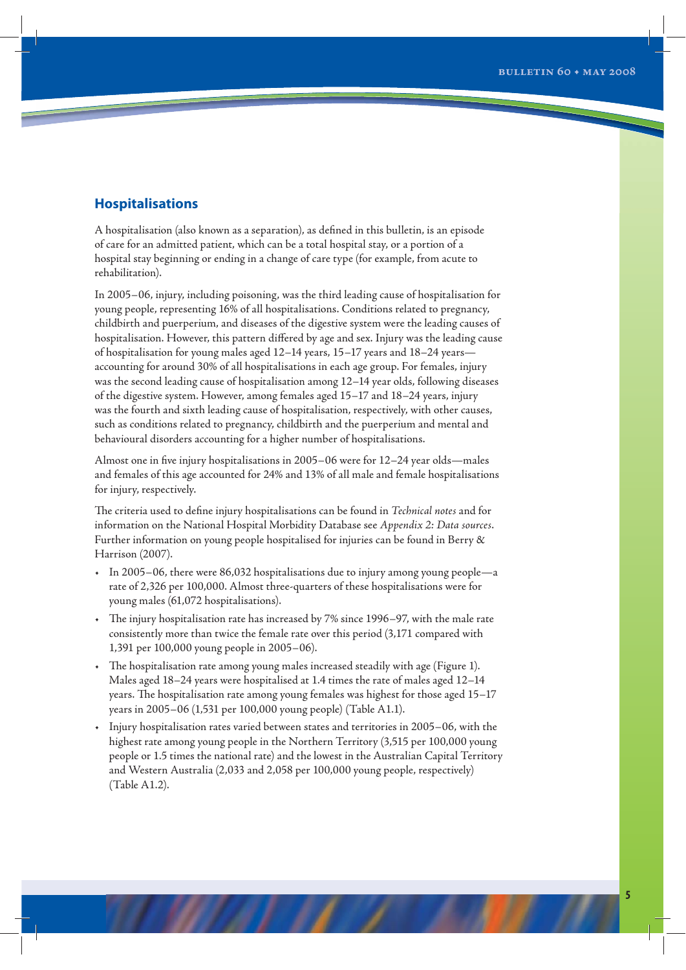## **Hospitalisations**

A hospitalisation (also known as a separation), as defined in this bulletin, is an episode of care for an admitted patient, which can be a total hospital stay, or a portion of a hospital stay beginning or ending in a change of care type (for example, from acute to rehabilitation).

In 2005–06, injury, including poisoning, was the third leading cause of hospitalisation for young people, representing 16% of all hospitalisations. Conditions related to pregnancy, childbirth and puerperium, and diseases of the digestive system were the leading causes of hospitalisation. However, this pattern differed by age and sex. Injury was the leading cause of hospitalisation for young males aged 12–14 years, 15–17 years and 18–24 years accounting for around 30% of all hospitalisations in each age group. For females, injury was the second leading cause of hospitalisation among 12–14 year olds, following diseases of the digestive system. However, among females aged 15–17 and 18–24 years, injury was the fourth and sixth leading cause of hospitalisation, respectively, with other causes, such as conditions related to pregnancy, childbirth and the puerperium and mental and behavioural disorders accounting for a higher number of hospitalisations.

Almost one in five injury hospitalisations in 2005–06 were for 12–24 year olds—males and females of this age accounted for 24% and 13% of all male and female hospitalisations for injury, respectively.

The criteria used to define injury hospitalisations can be found in *Technical notes* and for information on the National Hospital Morbidity Database see *Appendix 2: Data sources*. Further information on young people hospitalised for injuries can be found in Berry & Harrison (2007).

- In 2005–06, there were 86,032 hospitalisations due to injury among young people—a rate of 2,326 per 100,000. Almost three-quarters of these hospitalisations were for young males (61,072 hospitalisations).
- The injury hospitalisation rate has increased by 7% since 1996–97, with the male rate consistently more than twice the female rate over this period (3,171 compared with 1,391 per 100,000 young people in 2005–06).
- The hospitalisation rate among young males increased steadily with age (Figure 1). Males aged 18–24 years were hospitalised at 1.4 times the rate of males aged 12–14 years. The hospitalisation rate among young females was highest for those aged 15–17 years in 2005–06 (1,531 per 100,000 young people) (Table A1.1).
- Injury hospitalisation rates varied between states and territories in 2005–06, with the highest rate among young people in the Northern Territory (3,515 per 100,000 young people or 1.5 times the national rate) and the lowest in the Australian Capital Territory and Western Australia (2,033 and 2,058 per 100,000 young people, respectively) (Table A1.2).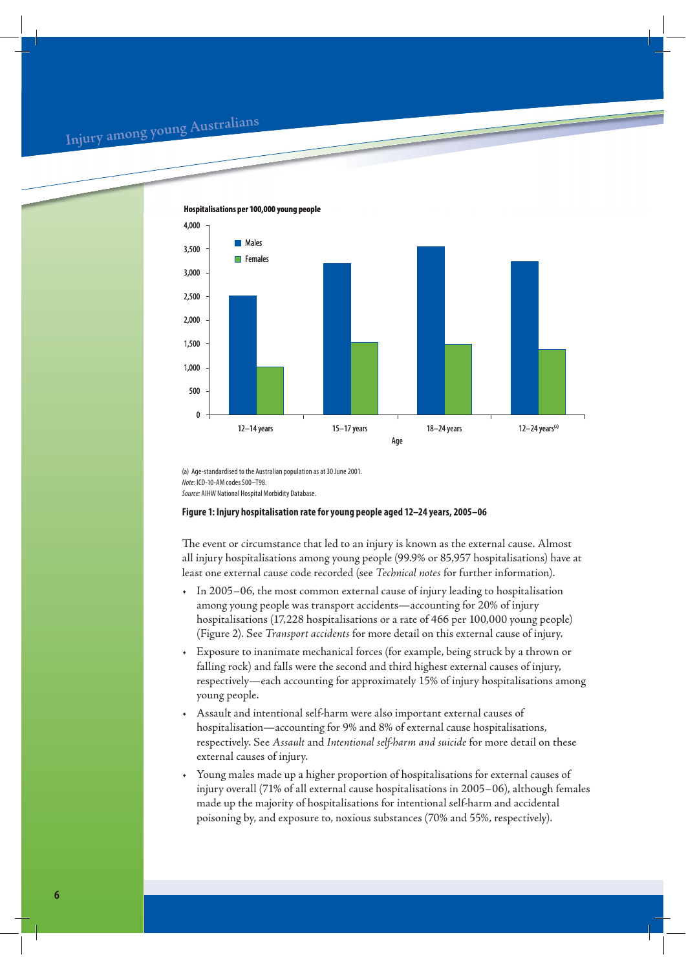## **<sup>I</sup>nju<sup>r</sup><sup>y</sup> <sup>a</sup>mo<sup>n</sup><sup>g</sup> <sup>y</sup><sup>o</sup>u<sup>n</sup><sup>g</sup> <sup>A</sup>ustr<sup>a</sup>lian<sup>s</sup>**



(a) Age-standardised to the Australian population as at 30 June 2001. Note: ICD-10-AM codes S00–T98. Source: AIHW National Hospital Morbidity Database.

### **Figure 1: Injury hospitalisation rate for young people aged 12–24 years, 2005–06**

The event or circumstance that led to an injury is known as the external cause. Almost all injury hospitalisations among young people (99.9% or 85,957 hospitalisations) have at least one external cause code recorded (see *Technical notes* for further information).

- In 2005–06, the most common external cause of injury leading to hospitalisation among young people was transport accidents—accounting for 20% of injury hospitalisations (17,228 hospitalisations or a rate of 466 per 100,000 young people) (Figure 2). See *Transport accidents* for more detail on this external cause of injury.
- Exposure to inanimate mechanical forces (for example, being struck by a thrown or falling rock) and falls were the second and third highest external causes of injury, respectively—each accounting for approximately 15% of injury hospitalisations among young people.
- Assault and intentional self-harm were also important external causes of hospitalisation—accounting for 9% and 8% of external cause hospitalisations, respectively. See *Assault* and *Intentional self-harm and suicide* for more detail on these external causes of injury.
- Young males made up a higher proportion of hospitalisations for external causes of injury overall (71% of all external cause hospitalisations in 2005–06), although females made up the majority of hospitalisations for intentional self-harm and accidental poisoning by, and exposure to, noxious substances (70% and 55%, respectively).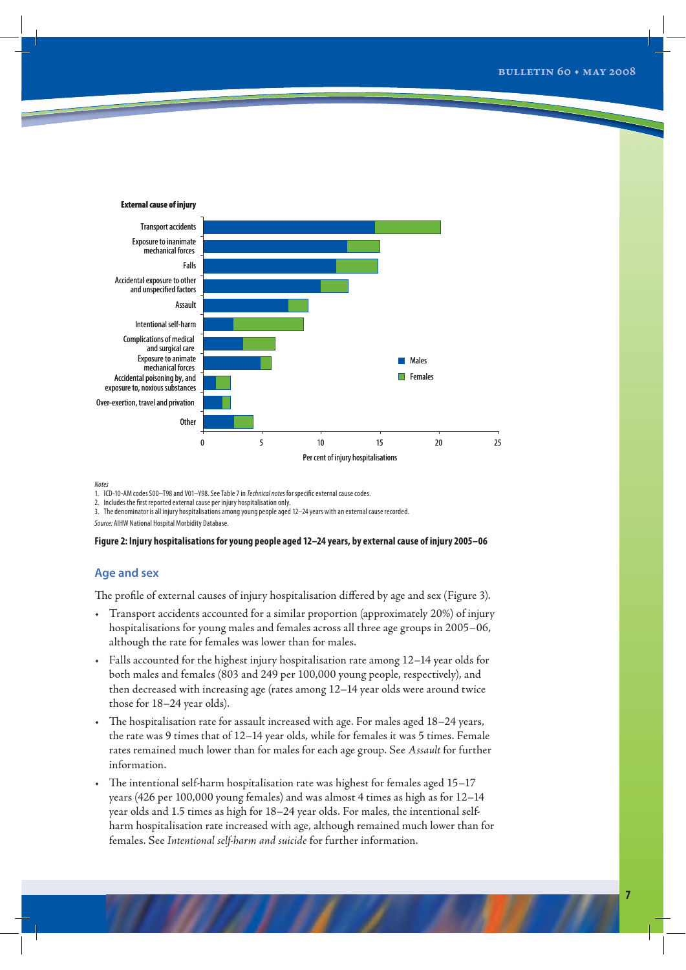

**Notes** 

1. ICD-10-AM codes S00–T98 and V01–Y98. See Table 7 in Technical notes for specific external cause codes.

2. Includes the first reported external cause per injury hospitalisation only.

3. The denominator is all injury hospitalisations among young people aged 12–24 years with an external cause recorded.

Source: AIHW National Hospital Morbidity Database.

#### **Figure 2: Injury hospitalisations for young people aged 12–24 years, by external cause of injury 2005–06**

## **Age and sex**

The profile of external causes of injury hospitalisation differed by age and sex (Figure 3).

- Transport accidents accounted for a similar proportion (approximately 20%) of injury hospitalisations for young males and females across all three age groups in 2005–06, although the rate for females was lower than for males.
- Falls accounted for the highest injury hospitalisation rate among 12–14 year olds for both males and females (803 and 249 per 100,000 young people, respectively), and then decreased with increasing age (rates among 12–14 year olds were around twice those for 18–24 year olds).
- The hospitalisation rate for assault increased with age. For males aged 18–24 years, the rate was 9 times that of 12–14 year olds, while for females it was 5 times. Female rates remained much lower than for males for each age group. See *Assault* for further information.
- The intentional self-harm hospitalisation rate was highest for females aged 15–17 years (426 per 100,000 young females) and was almost 4 times as high as for 12–14 year olds and 1.5 times as high for 18–24 year olds. For males, the intentional selfharm hospitalisation rate increased with age, although remained much lower than for females. See *Intentional self-harm and suicide* for further information.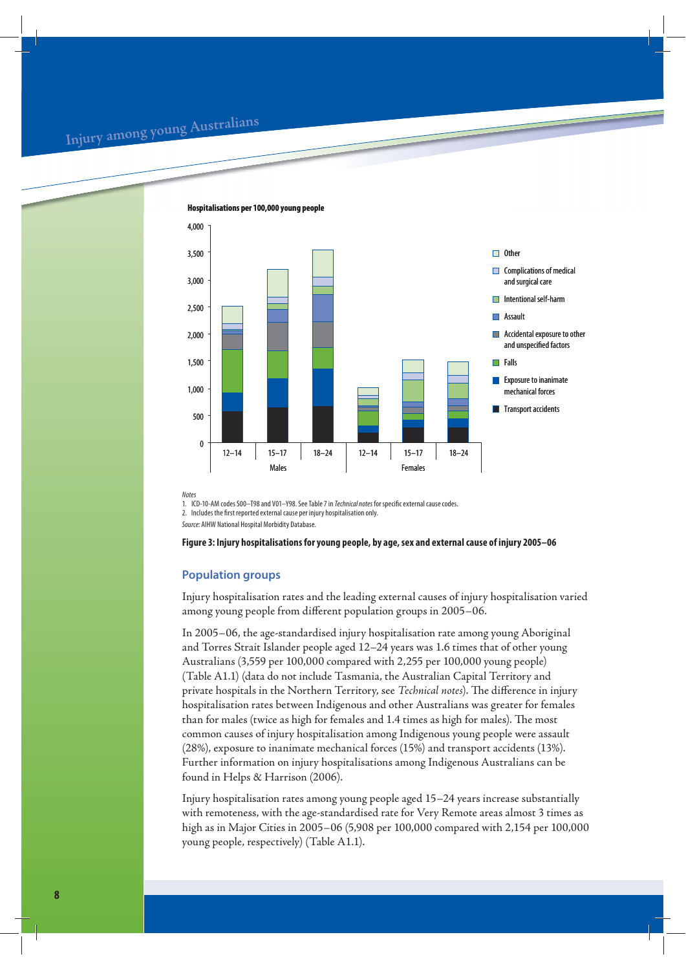## **<sup>I</sup>nju<sup>r</sup><sup>y</sup> <sup>a</sup>mo<sup>n</sup><sup>g</sup> <sup>y</sup><sup>o</sup>u<sup>n</sup><sup>g</sup> <sup>A</sup>ustr<sup>a</sup>lian<sup>s</sup>**



**Hospitalisations per 100,000 young people**

**Notes** 

1. ICD-10-AM codes S00-T98 and V01-Y98. See Table 7 in Technical notes for specific external cause codes.

2. Includes the first reported external cause per injury hospitalisation only.

Source: AIHW National Hospital Morbidity Database.

#### **Figure 3: Injury hospitalisations for young people, by age, sex and external cause of injury 2005–06**

## **Population groups**

Injury hospitalisation rates and the leading external causes of injury hospitalisation varied among young people from different population groups in 2005–06.

In 2005–06, the age-standardised injury hospitalisation rate among young Aboriginal and Torres Strait Islander people aged 12–24 years was 1.6 times that of other young Australians (3,559 per 100,000 compared with 2,255 per 100,000 young people) (Table A1.1) (data do not include Tasmania, the Australian Capital Territory and private hospitals in the Northern Territory, see *Technical notes*). The difference in injury hospitalisation rates between Indigenous and other Australians was greater for females than for males (twice as high for females and 1.4 times as high for males). The most common causes of injury hospitalisation among Indigenous young people were assault (28%), exposure to inanimate mechanical forces (15%) and transport accidents (13%). Further information on injury hospitalisations among Indigenous Australians can be found in Helps & Harrison (2006).

Injury hospitalisation rates among young people aged 15–24 years increase substantially with remoteness, with the age-standardised rate for Very Remote areas almost 3 times as high as in Major Cities in 2005–06 (5,908 per 100,000 compared with 2,154 per 100,000 young people, respectively) (Table A1.1).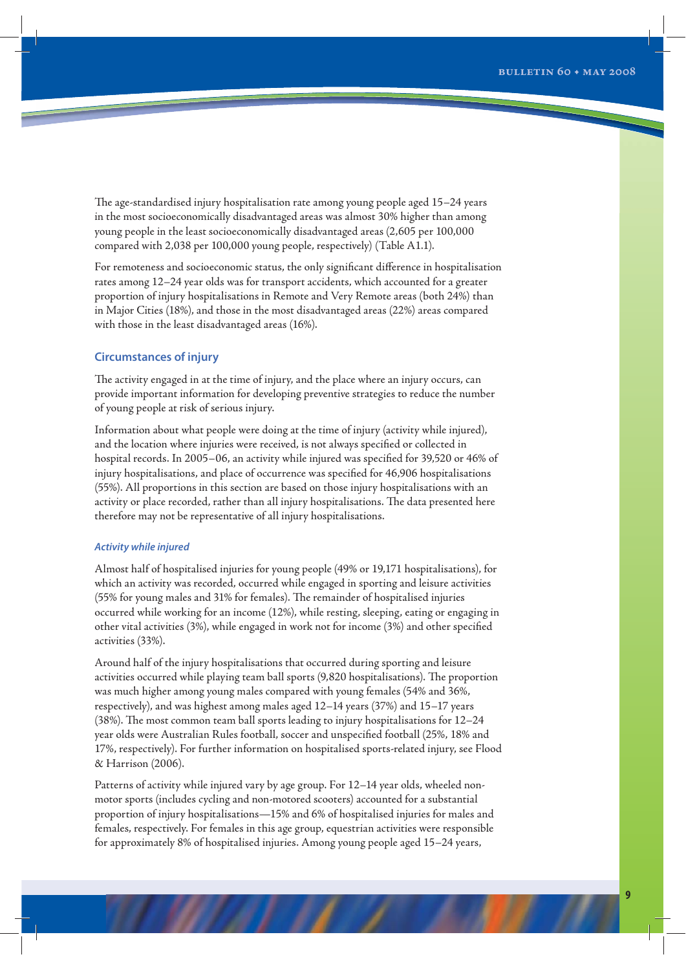The age-standardised injury hospitalisation rate among young people aged 15–24 years in the most socioeconomically disadvantaged areas was almost 30% higher than among young people in the least socioeconomically disadvantaged areas (2,605 per 100,000 compared with 2,038 per 100,000 young people, respectively) (Table A1.1).

For remoteness and socioeconomic status, the only significant difference in hospitalisation rates among 12–24 year olds was for transport accidents, which accounted for a greater proportion of injury hospitalisations in Remote and Very Remote areas (both 24%) than in Major Cities (18%), and those in the most disadvantaged areas (22%) areas compared with those in the least disadvantaged areas (16%).

## **Circumstances of injury**

The activity engaged in at the time of injury, and the place where an injury occurs, can provide important information for developing preventive strategies to reduce the number of young people at risk of serious injury.

Information about what people were doing at the time of injury (activity while injured), and the location where injuries were received, is not always specified or collected in hospital records. In 2005–06, an activity while injured was specified for 39,520 or 46% of injury hospitalisations, and place of occurrence was specified for 46,906 hospitalisations (55%). All proportions in this section are based on those injury hospitalisations with an activity or place recorded, rather than all injury hospitalisations. The data presented here therefore may not be representative of all injury hospitalisations.

#### *Activity while injured*

Almost half of hospitalised injuries for young people (49% or 19,171 hospitalisations), for which an activity was recorded, occurred while engaged in sporting and leisure activities (55% for young males and 31% for females). The remainder of hospitalised injuries occurred while working for an income (12%), while resting, sleeping, eating or engaging in other vital activities (3%), while engaged in work not for income (3%) and other specified activities (33%).

Around half of the injury hospitalisations that occurred during sporting and leisure activities occurred while playing team ball sports (9,820 hospitalisations). The proportion was much higher among young males compared with young females (54% and 36%, respectively), and was highest among males aged 12–14 years (37%) and 15–17 years (38%). The most common team ball sports leading to injury hospitalisations for 12–24 year olds were Australian Rules football, soccer and unspecified football (25%, 18% and 17%, respectively). For further information on hospitalised sports-related injury, see Flood & Harrison (2006).

Patterns of activity while injured vary by age group. For 12–14 year olds, wheeled nonmotor sports (includes cycling and non-motored scooters) accounted for a substantial proportion of injury hospitalisations—15% and 6% of hospitalised injuries for males and females, respectively. For females in this age group, equestrian activities were responsible for approximately 8% of hospitalised injuries. Among young people aged 15–24 years,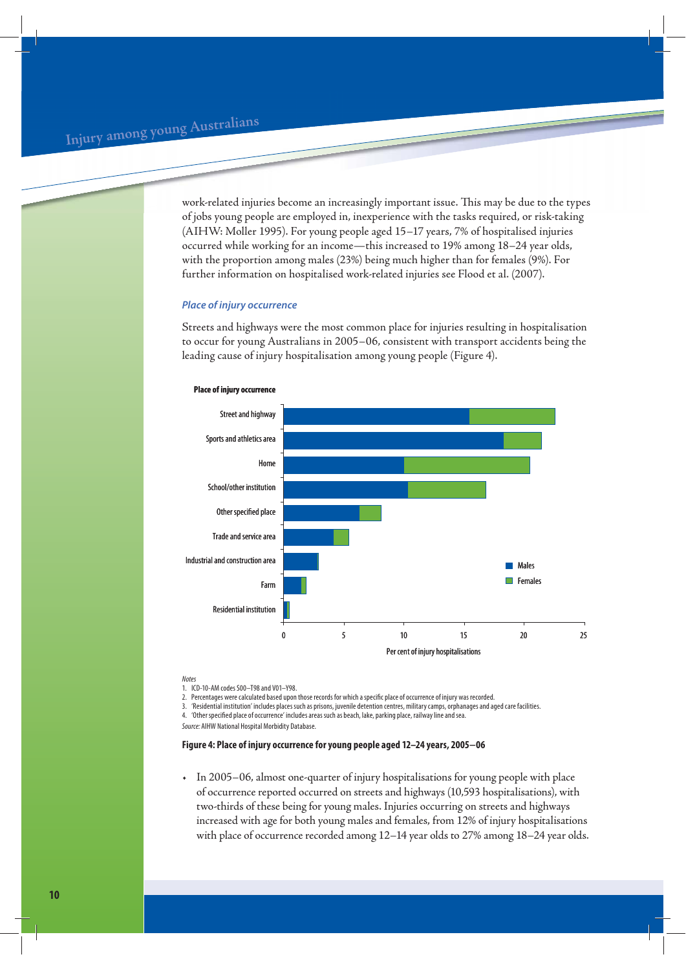work-related injuries become an increasingly important issue. This may be due to the types of jobs young people are employed in, inexperience with the tasks required, or risk-taking (AIHW: Moller 1995). For young people aged 15–17 years, 7% of hospitalised injuries occurred while working for an income—this increased to 19% among 18–24 year olds, with the proportion among males (23%) being much higher than for females (9%). For further information on hospitalised work-related injuries see Flood et al. (2007).

## *Place of injury occurrence*

Streets and highways were the most common place for injuries resulting in hospitalisation to occur for young Australians in 2005–06, consistent with transport accidents being the leading cause of injury hospitalisation among young people (Figure 4).



#### **Place of injury occurrence**

Notes

1. ICD-10-AM codes S00–T98 and V01–Y98.

2. Percentages were calculated based upon those records for which a specific place of occurrence of injury was recorded.

3. 'Residential institution' includes places such as prisons, juvenile detention centres, military camps, orphanages and aged care facilities.

4. 'Other specified place of occurrence' includes areas such as beach, lake, parking place, railway line and sea.

Source: AIHW National Hospital Morbidity Database.

## **Figure 4: Place of injury occurrence for young people aged 12–24 years, 2005−06**

• In 2005–06, almost one-quarter of injury hospitalisations for young people with place of occurrence reported occurred on streets and highways (10,593 hospitalisations), with two-thirds of these being for young males. Injuries occurring on streets and highways increased with age for both young males and females, from 12% of injury hospitalisations with place of occurrence recorded among 12–14 year olds to 27% among 18–24 year olds.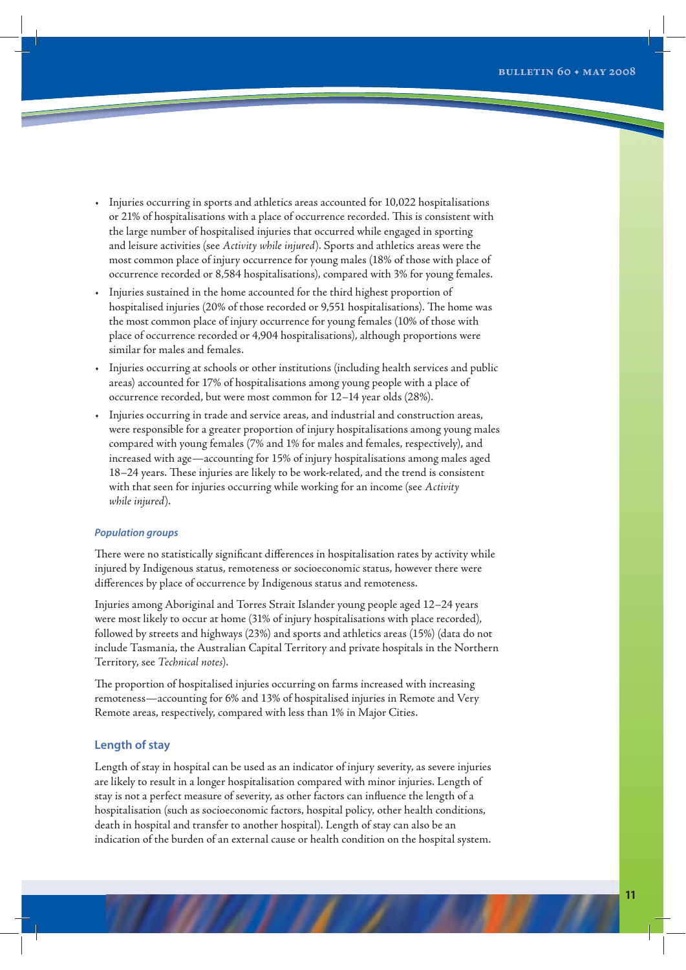- Injuries occurring in sports and athletics areas accounted for 10,022 hospitalisations or 21% of hospitalisations with a place of occurrence recorded. This is consistent with the large number of hospitalised injuries that occurred while engaged in sporting and leisure activities (see *Activity while injured*). Sports and athletics areas were the most common place of injury occurrence for young males (18% of those with place of occurrence recorded or 8,584 hospitalisations), compared with 3% for young females.
- Injuries sustained in the home accounted for the third highest proportion of hospitalised injuries (20% of those recorded or 9,551 hospitalisations). The home was the most common place of injury occurrence for young females (10% of those with place of occurrence recorded or 4,904 hospitalisations), although proportions were similar for males and females.
- Injuries occurring at schools or other institutions (including health services and public areas) accounted for 17% of hospitalisations among young people with a place of occurrence recorded, but were most common for 12–14 year olds (28%).
- Injuries occurring in trade and service areas, and industrial and construction areas, were responsible for a greater proportion of injury hospitalisations among young males compared with young females (7% and 1% for males and females, respectively), and increased with age—accounting for 15% of injury hospitalisations among males aged 18–24 years. These injuries are likely to be work-related, and the trend is consistent with that seen for injuries occurring while working for an income (see *Activity while injured*).

## *Population groups*

There were no statistically significant differences in hospitalisation rates by activity while injured by Indigenous status, remoteness or socioeconomic status, however there were differences by place of occurrence by Indigenous status and remoteness.

Injuries among Aboriginal and Torres Strait Islander young people aged 12–24 years were most likely to occur at home (31% of injury hospitalisations with place recorded), followed by streets and highways (23%) and sports and athletics areas (15%) (data do not include Tasmania, the Australian Capital Territory and private hospitals in the Northern Territory, see *Technical notes*).

The proportion of hospitalised injuries occurring on farms increased with increasing remoteness—accounting for 6% and 13% of hospitalised injuries in Remote and Very Remote areas, respectively, compared with less than 1% in Major Cities.

## **Length of stay**

Length of stay in hospital can be used as an indicator of injury severity, as severe injuries are likely to result in a longer hospitalisation compared with minor injuries. Length of stay is not a perfect measure of severity, as other factors can influence the length of a hospitalisation (such as socioeconomic factors, hospital policy, other health conditions, death in hospital and transfer to another hospital). Length of stay can also be an indication of the burden of an external cause or health condition on the hospital system.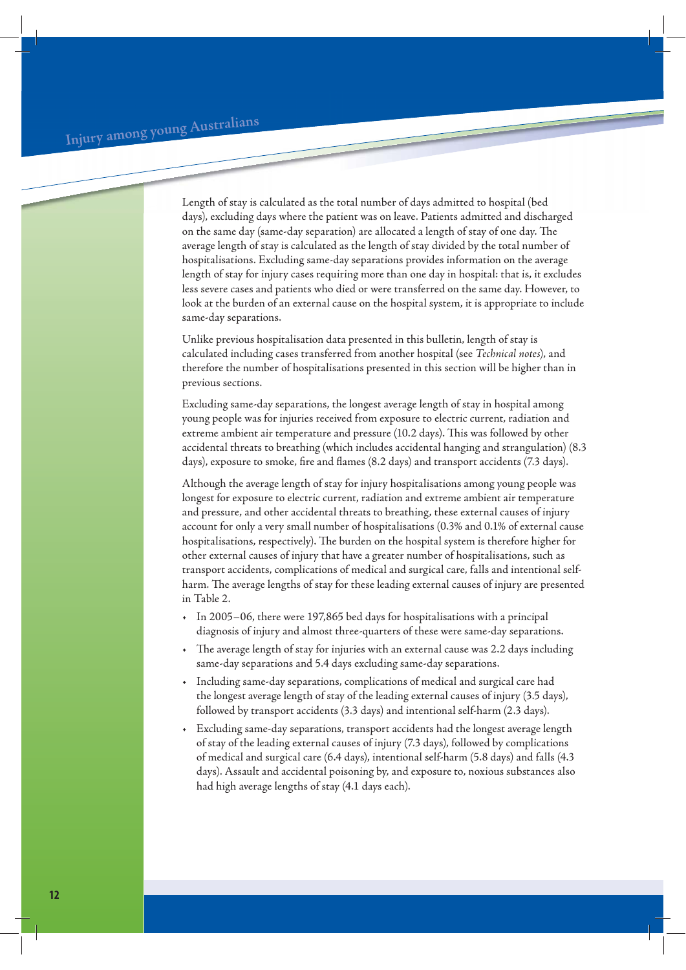Length of stay is calculated as the total number of days admitted to hospital (bed days), excluding days where the patient was on leave. Patients admitted and discharged on the same day (same-day separation) are allocated a length of stay of one day. The average length of stay is calculated as the length of stay divided by the total number of hospitalisations. Excluding same-day separations provides information on the average length of stay for injury cases requiring more than one day in hospital: that is, it excludes less severe cases and patients who died or were transferred on the same day. However, to look at the burden of an external cause on the hospital system, it is appropriate to include same-day separations.

Unlike previous hospitalisation data presented in this bulletin, length of stay is calculated including cases transferred from another hospital (see *Technical notes*), and therefore the number of hospitalisations presented in this section will be higher than in previous sections.

Excluding same-day separations, the longest average length of stay in hospital among young people was for injuries received from exposure to electric current, radiation and extreme ambient air temperature and pressure (10.2 days). This was followed by other accidental threats to breathing (which includes accidental hanging and strangulation) (8.3 days), exposure to smoke, fire and flames (8.2 days) and transport accidents (7.3 days).

Although the average length of stay for injury hospitalisations among young people was longest for exposure to electric current, radiation and extreme ambient air temperature and pressure, and other accidental threats to breathing, these external causes of injury account for only a very small number of hospitalisations (0.3% and 0.1% of external cause hospitalisations, respectively). The burden on the hospital system is therefore higher for other external causes of injury that have a greater number of hospitalisations, such as transport accidents, complications of medical and surgical care, falls and intentional selfharm. The average lengths of stay for these leading external causes of injury are presented in Table 2.

- In 2005–06, there were 197,865 bed days for hospitalisations with a principal diagnosis of injury and almost three-quarters of these were same-day separations.
- The average length of stay for injuries with an external cause was 2.2 days including same-day separations and 5.4 days excluding same-day separations.
- Including same-day separations, complications of medical and surgical care had the longest average length of stay of the leading external causes of injury (3.5 days), followed by transport accidents (3.3 days) and intentional self-harm (2.3 days).
- Excluding same-day separations, transport accidents had the longest average length of stay of the leading external causes of injury (7.3 days), followed by complications of medical and surgical care (6.4 days), intentional self-harm (5.8 days) and falls (4.3 days). Assault and accidental poisoning by, and exposure to, noxious substances also had high average lengths of stay (4.1 days each).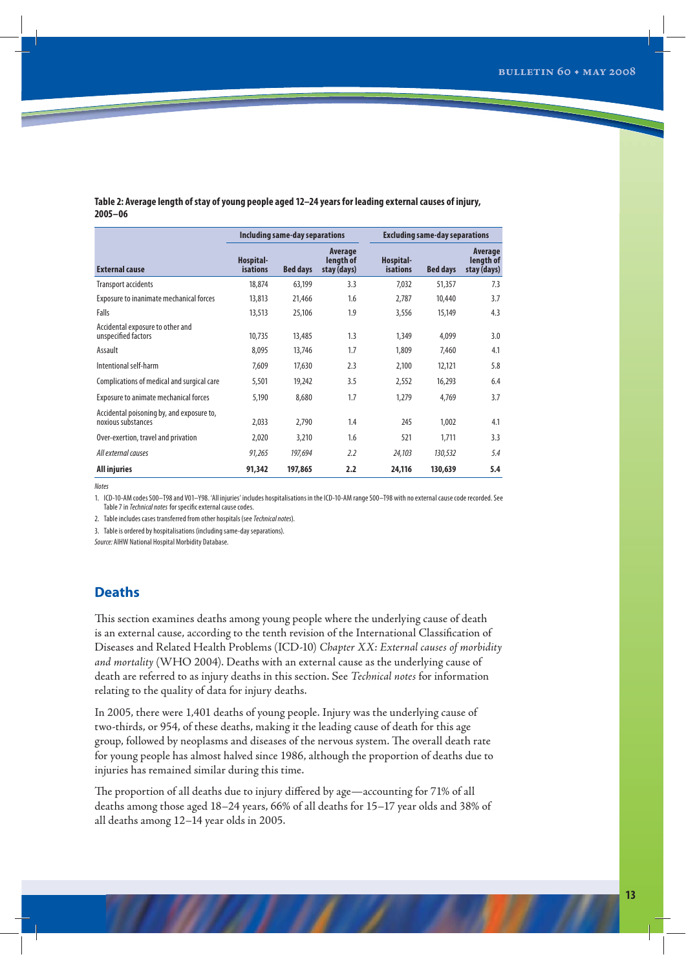## **Table 2: Average length of stay of young people aged 12–24 years for leading external causes of injury, 2005–06**

|                                                                 |                              | Including same-day separations |                                     |                              | <b>Excluding same-day separations</b> |                                     |  |  |
|-----------------------------------------------------------------|------------------------------|--------------------------------|-------------------------------------|------------------------------|---------------------------------------|-------------------------------------|--|--|
| <b>External cause</b>                                           | Hospital-<br><b>isations</b> | <b>Bed days</b>                | Average<br>length of<br>stay (days) | Hospital-<br><b>isations</b> | <b>Bed days</b>                       | Average<br>length of<br>stay (days) |  |  |
| Transport accidents                                             | 18,874                       | 63,199                         | 3.3                                 | 7,032                        | 51,357                                | 7.3                                 |  |  |
| Exposure to inanimate mechanical forces                         | 13,813                       | 21,466                         | 1.6                                 | 2,787                        | 10,440                                | 3.7                                 |  |  |
| Falls                                                           | 13,513                       | 25,106                         | 1.9                                 | 3,556                        | 15,149                                | 4.3                                 |  |  |
| Accidental exposure to other and<br>unspecified factors         | 10,735                       | 13,485                         | 1.3                                 | 1,349                        | 4.099                                 | 3.0                                 |  |  |
| Assault                                                         | 8,095                        | 13,746                         | 1.7                                 | 1,809                        | 7,460                                 | 4.1                                 |  |  |
| Intentional self-harm                                           | 7,609                        | 17,630                         | 2.3                                 | 2,100                        | 12,121                                | 5.8                                 |  |  |
| Complications of medical and surgical care                      | 5,501                        | 19,242                         | 3.5                                 | 2,552                        | 16,293                                | 6.4                                 |  |  |
| Exposure to animate mechanical forces                           | 5,190                        | 8,680                          | 1.7                                 | 1,279                        | 4,769                                 | 3.7                                 |  |  |
| Accidental poisoning by, and exposure to,<br>noxious substances | 2,033                        | 2,790                          | $1.4\,$                             | 245                          | 1,002                                 | 4.1                                 |  |  |
| Over-exertion, travel and privation                             | 2,020                        | 3,210                          | 1.6                                 | 521                          | 1,711                                 | 3.3                                 |  |  |
| All external causes                                             | 91,265                       | 197,694                        | 2.2                                 | 24,103                       | 130,532                               | 5.4                                 |  |  |
| <b>All injuries</b>                                             | 91,342                       | 197,865                        | 2.2                                 | 24,116                       | 130,639                               | 5.4                                 |  |  |

**Notes** 

1. ICD-10-AM codes S00–T98 and V01–Y98. 'All injuries' includes hospitalisations in the ICD-10-AM range S00–T98 with no external cause code recorded. See Table 7 in Technical notes for specific external cause codes.

2. Table includes cases transferred from other hospitals (see Technical notes).

3. Table is ordered by hospitalisations (including same-day separations).

Source: AIHW National Hospital Morbidity Database.

## **Deaths**

This section examines deaths among young people where the underlying cause of death is an external cause, according to the tenth revision of the International Classification of Diseases and Related Health Problems (ICD-10) *Chapter XX: External causes of morbidity and mortality* (WHO 2004). Deaths with an external cause as the underlying cause of death are referred to as injury deaths in this section. See *Technical notes* for information relating to the quality of data for injury deaths.

In 2005, there were 1,401 deaths of young people. Injury was the underlying cause of two-thirds, or 954, of these deaths, making it the leading cause of death for this age group, followed by neoplasms and diseases of the nervous system. The overall death rate for young people has almost halved since 1986, although the proportion of deaths due to injuries has remained similar during this time.

The proportion of all deaths due to injury differed by age—accounting for 71% of all deaths among those aged 18–24 years, 66% of all deaths for 15–17 year olds and 38% of all deaths among 12–14 year olds in 2005.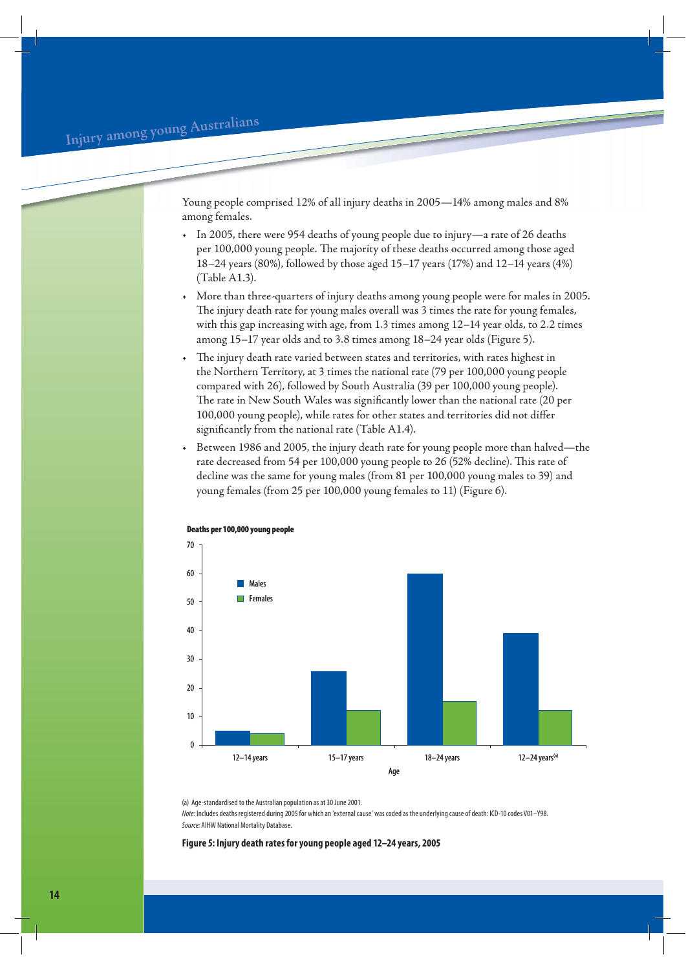Young people comprised 12% of all injury deaths in 2005—14% among males and 8% among females.

- In 2005, there were 954 deaths of young people due to injury—a rate of 26 deaths per 100,000 young people. The majority of these deaths occurred among those aged 18–24 years (80%), followed by those aged 15–17 years (17%) and 12–14 years (4%) (Table A1.3).
- More than three-quarters of injury deaths among young people were for males in 2005. The injury death rate for young males overall was 3 times the rate for young females, with this gap increasing with age, from 1.3 times among 12–14 year olds, to 2.2 times among 15–17 year olds and to 3.8 times among 18–24 year olds (Figure 5).
- The injury death rate varied between states and territories, with rates highest in the Northern Territory, at 3 times the national rate (79 per 100,000 young people compared with 26), followed by South Australia (39 per 100,000 young people). The rate in New South Wales was significantly lower than the national rate (20 per 100,000 young people), while rates for other states and territories did not differ significantly from the national rate (Table A1.4).
- Between 1986 and 2005, the injury death rate for young people more than halved—the rate decreased from 54 per 100,000 young people to 26 (52% decline). This rate of decline was the same for young males (from 81 per 100,000 young males to 39) and young females (from 25 per 100,000 young females to 11) (Figure 6).



**Deaths per 100,000 young people**

(a) Age-standardised to the Australian population as at 30 June 2001.

Note: Includes deaths registered during 2005 for which an 'external cause' was coded as the underlying cause of death: ICD-10 codes V01–Y98. Source: AIHW National Mortality Database.

**Figure 5: Injury death rates for young people aged 12–24 years, 2005**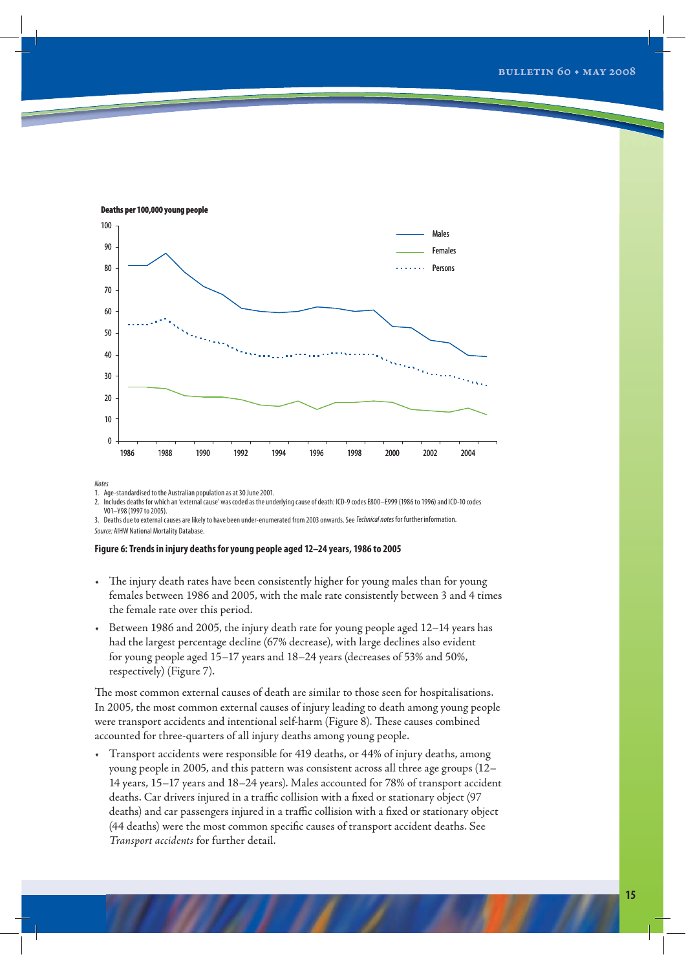

**Deaths per 100,000 young people**

Notes

1. Age-standardised to the Australian population as at 30 June 2001.

2. Includes deaths for which an 'external cause' was coded as the underlying cause of death: ICD-9 codes E800–E999 (1986 to 1996) and ICD-10 codes V01–Y98 (1997 to 2005).

3. Deaths due to external causes are likely to have been under-enumerated from 2003 onwards. See Technical notes for further information. Source: AIHW National Mortality Database.

#### **Figure 6: Trends in injury deaths for young people aged 12–24 years, 1986 to 2005**

- The injury death rates have been consistently higher for young males than for young females between 1986 and 2005, with the male rate consistently between 3 and 4 times the female rate over this period.
- Between 1986 and 2005, the injury death rate for young people aged 12–14 years has had the largest percentage decline (67% decrease), with large declines also evident for young people aged 15–17 years and 18–24 years (decreases of 53% and 50%, respectively) (Figure 7).

The most common external causes of death are similar to those seen for hospitalisations. In 2005, the most common external causes of injury leading to death among young people were transport accidents and intentional self-harm (Figure 8). These causes combined accounted for three-quarters of all injury deaths among young people.

• Transport accidents were responsible for 419 deaths, or 44% of injury deaths, among young people in 2005, and this pattern was consistent across all three age groups (12– 14 years, 15–17 years and 18–24 years). Males accounted for 78% of transport accident deaths. Car drivers injured in a traffic collision with a fixed or stationary object (97 deaths) and car passengers injured in a traffic collision with a fixed or stationary object (44 deaths) were the most common specific causes of transport accident deaths. See *Transport accidents* for further detail.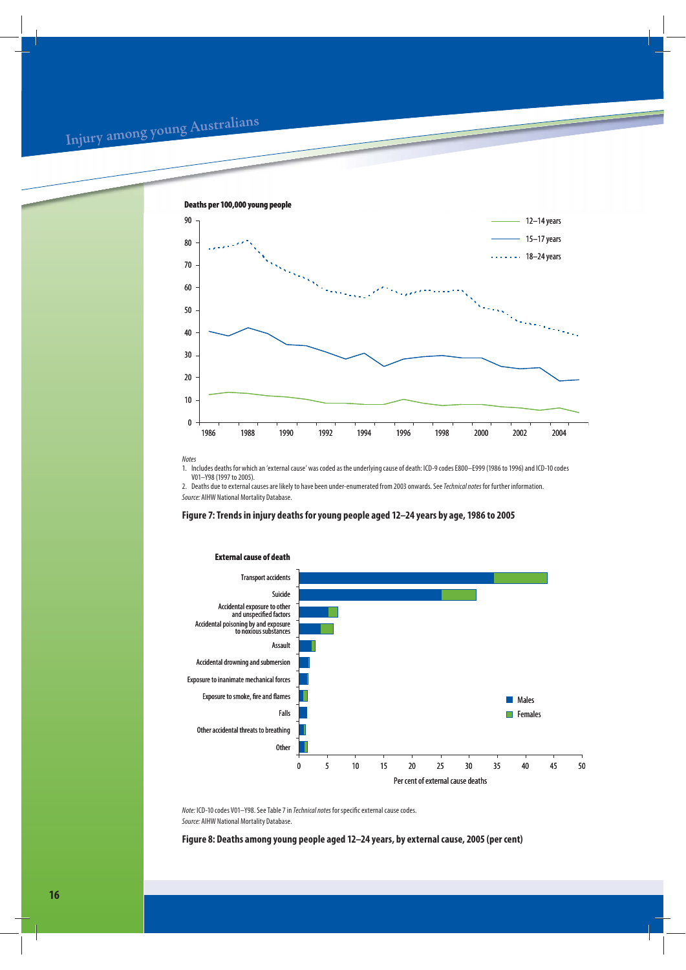# **<sup>I</sup>nju<sup>r</sup><sup>y</sup> <sup>a</sup>mo<sup>n</sup><sup>g</sup> <sup>y</sup><sup>o</sup>u<sup>n</sup><sup>g</sup> <sup>A</sup>ustr<sup>a</sup>lian<sup>s</sup>**



Notes

1. Includes deaths for which an 'external cause' was coded as the underlying cause of death: ICD-9 codes E800–E999 (1986 to 1996) and ICD-10 codes V01–Y98 (1997 to 2005).

2. Deaths due to external causes are likely to have been under-enumerated from 2003 onwards. See Technical notes for further information. Source: AIHW National Mortality Database.

## **Figure 7: Trends in injury deaths for young people aged 12–24 years by age, 1986 to 2005**



**External cause of death**

Note: ICD-10 codes V01–Y98. See Table 7 in Technical notes for specific external cause codes. Source: AIHW National Mortality Database.

**Figure 8: Deaths among young people aged 12–24 years, by external cause, 2005 (per cent)**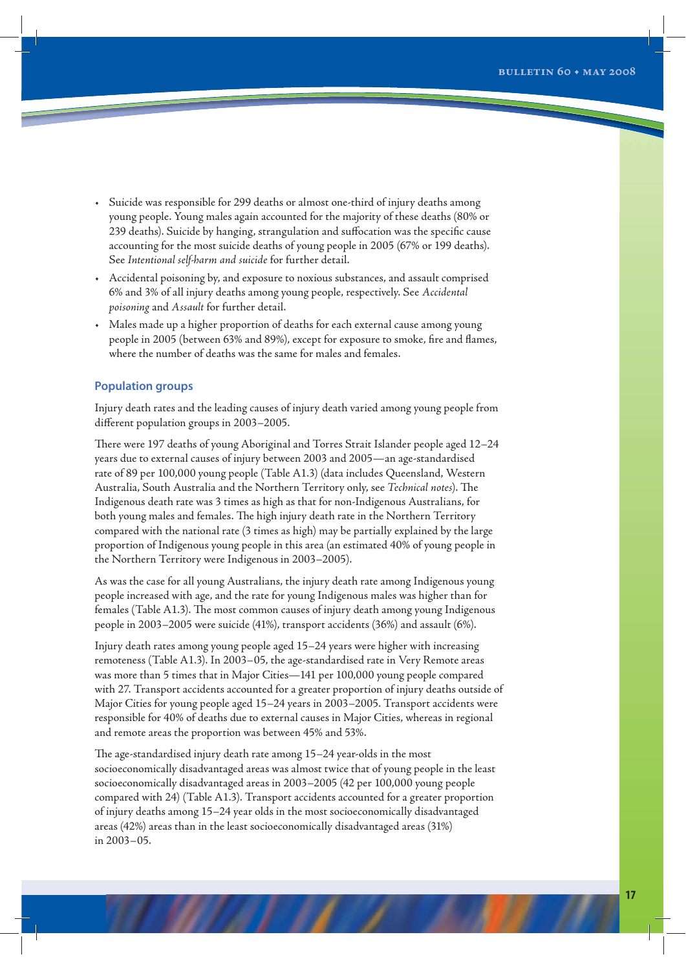- Suicide was responsible for 299 deaths or almost one-third of injury deaths among young people. Young males again accounted for the majority of these deaths (80% or 239 deaths). Suicide by hanging, strangulation and suffocation was the specific cause accounting for the most suicide deaths of young people in 2005 (67% or 199 deaths). See *Intentional self-harm and suicide* for further detail.
- Accidental poisoning by, and exposure to noxious substances, and assault comprised 6% and 3% of all injury deaths among young people, respectively. See *Accidental poisoning* and *Assault* for further detail.
- Males made up a higher proportion of deaths for each external cause among young people in 2005 (between 63% and 89%), except for exposure to smoke, fire and flames, where the number of deaths was the same for males and females.

## **Population groups**

Injury death rates and the leading causes of injury death varied among young people from different population groups in 2003–2005.

There were 197 deaths of young Aboriginal and Torres Strait Islander people aged 12–24 years due to external causes of injury between 2003 and 2005—an age-standardised rate of 89 per 100,000 young people (Table A1.3) (data includes Queensland, Western Australia, South Australia and the Northern Territory only, see *Technical notes*). The Indigenous death rate was 3 times as high as that for non-Indigenous Australians, for both young males and females. The high injury death rate in the Northern Territory compared with the national rate (3 times as high) may be partially explained by the large proportion of Indigenous young people in this area (an estimated 40% of young people in the Northern Territory were Indigenous in 2003–2005).

As was the case for all young Australians, the injury death rate among Indigenous young people increased with age, and the rate for young Indigenous males was higher than for females (Table A1.3). The most common causes of injury death among young Indigenous people in 2003–2005 were suicide (41%), transport accidents (36%) and assault (6%).

Injury death rates among young people aged 15–24 years were higher with increasing remoteness (Table A1.3). In 2003–05, the age-standardised rate in Very Remote areas was more than 5 times that in Major Cities—141 per 100,000 young people compared with 27. Transport accidents accounted for a greater proportion of injury deaths outside of Major Cities for young people aged 15–24 years in 2003–2005. Transport accidents were responsible for 40% of deaths due to external causes in Major Cities, whereas in regional and remote areas the proportion was between 45% and 53%.

The age-standardised injury death rate among 15–24 year-olds in the most socioeconomically disadvantaged areas was almost twice that of young people in the least socioeconomically disadvantaged areas in 2003–2005 (42 per 100,000 young people compared with 24) (Table A1.3). Transport accidents accounted for a greater proportion of injury deaths among 15–24 year olds in the most socioeconomically disadvantaged areas (42%) areas than in the least socioeconomically disadvantaged areas (31%) in 2003–05.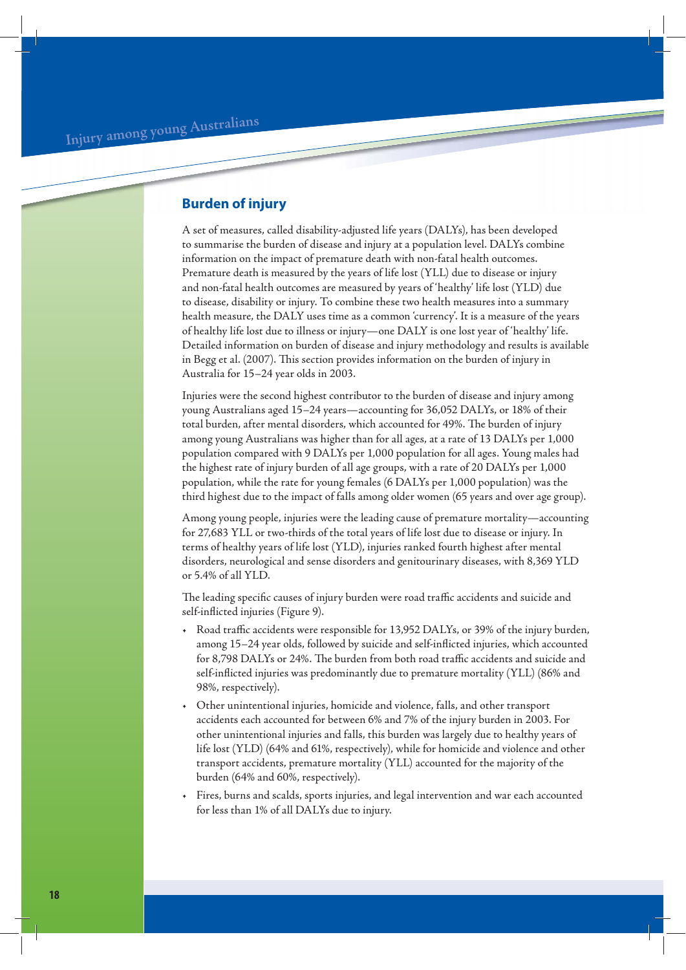## **Burden of injury**

A set of measures, called disability-adjusted life years (DALYs), has been developed to summarise the burden of disease and injury at a population level. DALYs combine information on the impact of premature death with non-fatal health outcomes. Premature death is measured by the years of life lost (YLL) due to disease or injury and non-fatal health outcomes are measured by years of 'healthy' life lost (YLD) due to disease, disability or injury. To combine these two health measures into a summary health measure, the DALY uses time as a common 'currency'. It is a measure of the years of healthy life lost due to illness or injury—one DALY is one lost year of 'healthy' life. Detailed information on burden of disease and injury methodology and results is available in Begg et al. (2007). This section provides information on the burden of injury in Australia for 15–24 year olds in 2003.

Injuries were the second highest contributor to the burden of disease and injury among young Australians aged 15–24 years—accounting for 36,052 DALYs, or 18% of their total burden, after mental disorders, which accounted for 49%. The burden of injury among young Australians was higher than for all ages, at a rate of 13 DALYs per 1,000 population compared with 9 DALYs per 1,000 population for all ages. Young males had the highest rate of injury burden of all age groups, with a rate of 20 DALYs per 1,000 population, while the rate for young females (6 DALYs per 1,000 population) was the third highest due to the impact of falls among older women (65 years and over age group).

Among young people, injuries were the leading cause of premature mortality—accounting for 27,683 YLL or two-thirds of the total years of life lost due to disease or injury. In terms of healthy years of life lost (YLD), injuries ranked fourth highest after mental disorders, neurological and sense disorders and genitourinary diseases, with 8,369 YLD or 5.4% of all YLD.

The leading specific causes of injury burden were road traffic accidents and suicide and self-inflicted injuries (Figure 9).

- Road traffic accidents were responsible for 13,952 DALYs, or 39% of the injury burden, among 15–24 year olds, followed by suicide and self-inflicted injuries, which accounted for 8,798 DALYs or 24%. The burden from both road traffic accidents and suicide and self-inflicted injuries was predominantly due to premature mortality (YLL) (86% and 98%, respectively).
- Other unintentional injuries, homicide and violence, falls, and other transport accidents each accounted for between 6% and 7% of the injury burden in 2003. For other unintentional injuries and falls, this burden was largely due to healthy years of life lost (YLD) (64% and 61%, respectively), while for homicide and violence and other transport accidents, premature mortality (YLL) accounted for the majority of the burden (64% and 60%, respectively).
- Fires, burns and scalds, sports injuries, and legal intervention and war each accounted for less than 1% of all DALYs due to injury.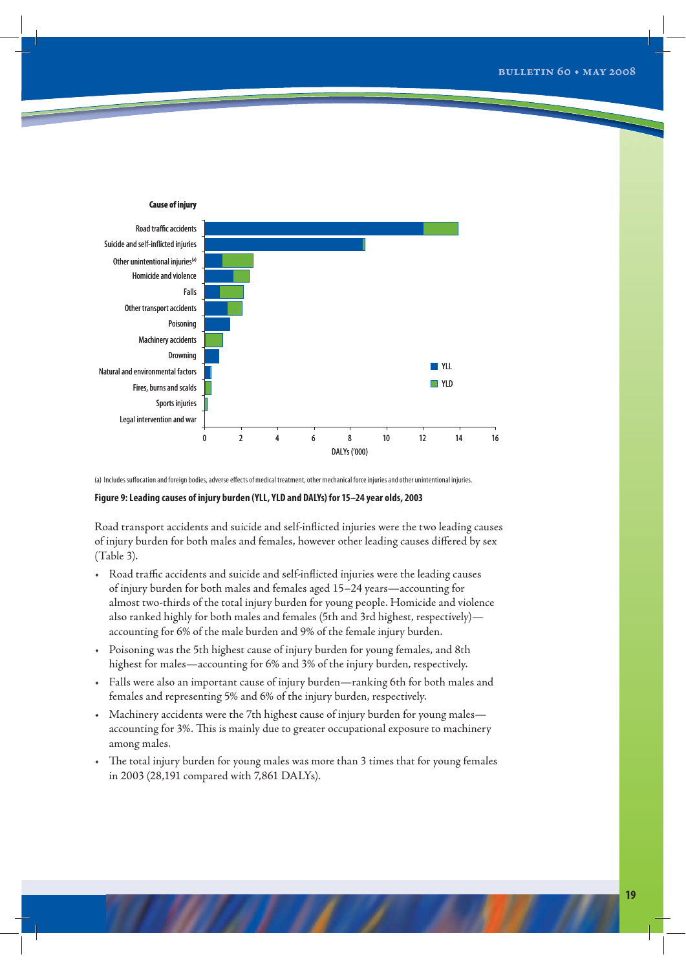

(a) Includes suffocation and foreign bodies, adverse effects of medical treatment, other mechanical force injuries and other unintentional injuries.

## **Figure 9: Leading causes of injury burden (YLL, YLD and DALYs) for 15–24 year olds, 2003**

Road transport accidents and suicide and self-inflicted injuries were the two leading causes of injury burden for both males and females, however other leading causes differed by sex (Table 3).

- Road traffic accidents and suicide and self-inflicted injuries were the leading causes of injury burden for both males and females aged 15–24 years—accounting for almost two-thirds of the total injury burden for young people. Homicide and violence also ranked highly for both males and females (5th and 3rd highest, respectively) accounting for 6% of the male burden and 9% of the female injury burden.
- Poisoning was the 5th highest cause of injury burden for young females, and 8th highest for males—accounting for 6% and 3% of the injury burden, respectively.
- Falls were also an important cause of injury burden—ranking 6th for both males and females and representing 5% and 6% of the injury burden, respectively.
- Machinery accidents were the 7th highest cause of injury burden for young males accounting for 3%. This is mainly due to greater occupational exposure to machinery among males.
- The total injury burden for young males was more than 3 times that for young females in 2003 (28,191 compared with 7,861 DALYs).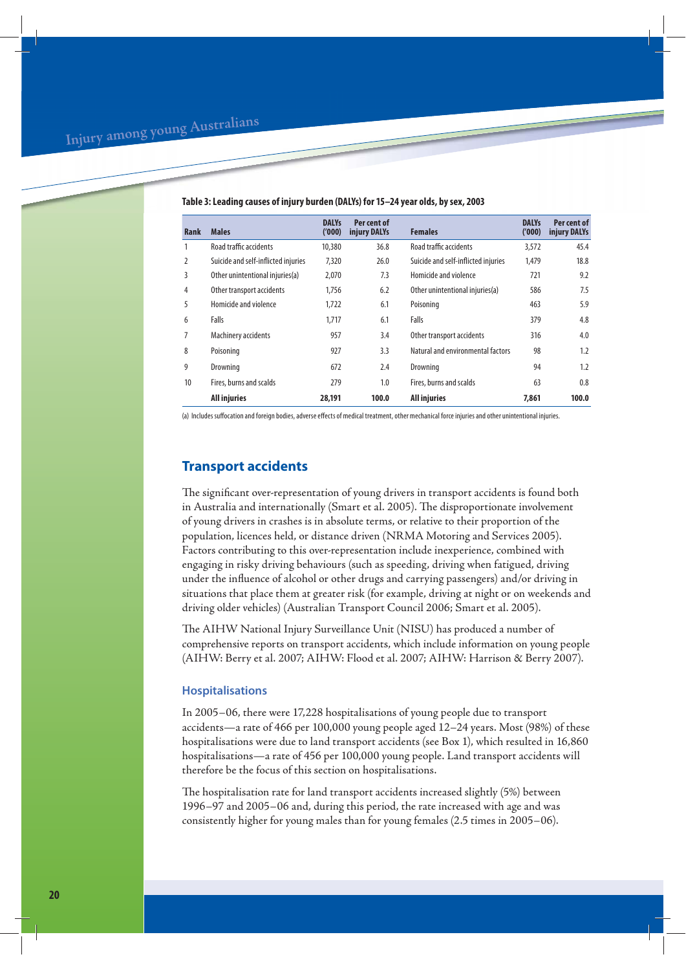| Rank | <b>Males</b>                        | <b>DALYs</b><br>('000) | Per cent of<br>injury DALYs | <b>Females</b>                      | <b>DALYs</b><br>('000) | Per cent of<br>injury DALYs |
|------|-------------------------------------|------------------------|-----------------------------|-------------------------------------|------------------------|-----------------------------|
| 1    | Road traffic accidents              | 10,380                 | 36.8                        | Road traffic accidents              | 3,572                  | 45.4                        |
| 2    | Suicide and self-inflicted injuries | 7,320                  | 26.0                        | Suicide and self-inflicted injuries | 1.479                  | 18.8                        |
| 3    | Other unintentional injuries(a)     | 2,070                  | 7.3                         | Homicide and violence               | 721                    | 9.2                         |
| 4    | Other transport accidents           | 1,756                  | 6.2                         | Other unintentional injuries(a)     | 586                    | 7.5                         |
| 5    | Homicide and violence               | 1.722                  | 6.1                         | Poisoning                           | 463                    | 5.9                         |
| 6    | Falls                               | 1.717                  | 6.1                         | Falls                               | 379                    | 4.8                         |
| 7    | Machinery accidents                 | 957                    | 3.4                         | Other transport accidents           | 316                    | 4.0                         |
| 8    | Poisoning                           | 927                    | 3.3                         | Natural and environmental factors   | 98                     | 1.2                         |
| 9    | Drowning                            | 672                    | 2.4                         | Drowning                            | 94                     | 1.2                         |
| 10   | Fires, burns and scalds             | 279                    | 1.0                         | Fires, burns and scalds             | 63                     | 0.8                         |
|      | <b>All injuries</b>                 | 28,191                 | 100.0                       | <b>All injuries</b>                 | 7.861                  | 100.0                       |

#### **Table 3: Leading causes of injury burden (DALYs) for 15–24 year olds, by sex, 2003**

(a) Includes suffocation and foreign bodies, adverse effects of medical treatment, other mechanical force injuries and other unintentional injuries.

## **Transport accidents**

The significant over-representation of young drivers in transport accidents is found both in Australia and internationally (Smart et al. 2005). The disproportionate involvement of young drivers in crashes is in absolute terms, or relative to their proportion of the population, licences held, or distance driven (NRMA Motoring and Services 2005). Factors contributing to this over-representation include inexperience, combined with engaging in risky driving behaviours (such as speeding, driving when fatigued, driving under the influence of alcohol or other drugs and carrying passengers) and/or driving in situations that place them at greater risk (for example, driving at night or on weekends and driving older vehicles) (Australian Transport Council 2006; Smart et al. 2005).

The AIHW National Injury Surveillance Unit (NISU) has produced a number of comprehensive reports on transport accidents, which include information on young people (AIHW: Berry et al. 2007; AIHW: Flood et al. 2007; AIHW: Harrison & Berry 2007).

## **Hospitalisations**

In 2005–06, there were 17,228 hospitalisations of young people due to transport accidents—a rate of 466 per 100,000 young people aged 12–24 years. Most (98%) of these hospitalisations were due to land transport accidents (see Box 1), which resulted in 16,860 hospitalisations—a rate of 456 per 100,000 young people. Land transport accidents will therefore be the focus of this section on hospitalisations.

The hospitalisation rate for land transport accidents increased slightly (5%) between 1996–97 and 2005–06 and, during this period, the rate increased with age and was consistently higher for young males than for young females (2.5 times in 2005–06).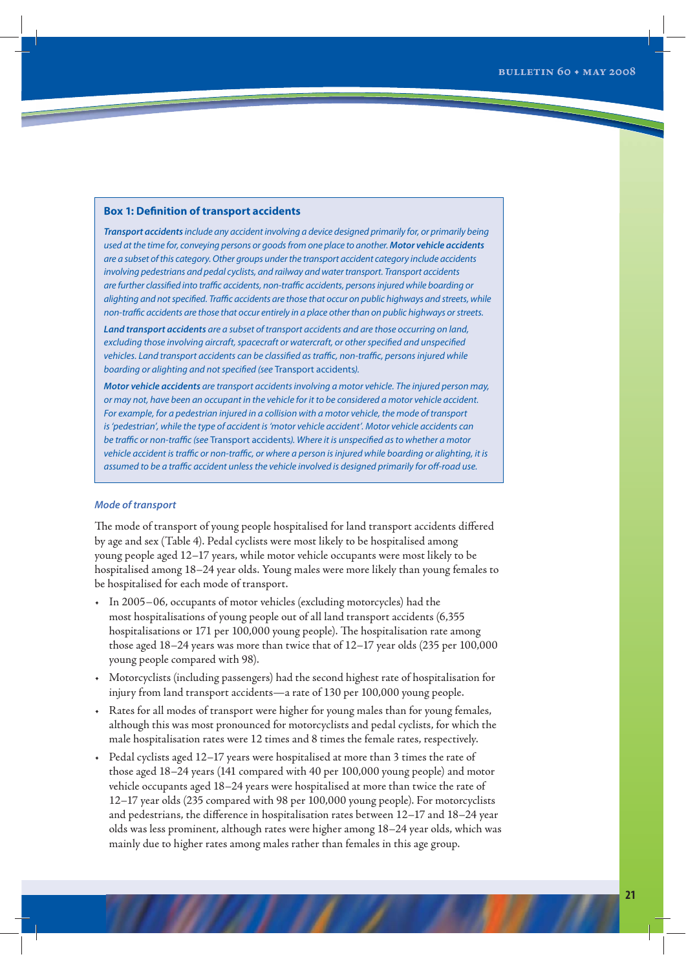## **Box 1: Definition of transport accidents**

*Transport accidents* include any accident involving a device designed primarily for, or primarily being used at the time for, conveying persons or goods from one place to another. *Motor vehicle accidents* are a subset of this category. Other groups under the transport accident category include accidents involving pedestrians and pedal cyclists, and railway and water transport. Transport accidents are further classified into traffic accidents, non-traffic accidents, persons injured while boarding or alighting and not specified. Traffic accidents are those that occur on public highways and streets, while non-traffic accidents are those that occur entirely in a place other than on public highways or streets.

*Land transport accidents* are a subset of transport accidents and are those occurring on land, excluding those involving aircraft, spacecraft or watercraft, or other specified and unspecified vehicles. Land transport accidents can be classified as traffic, non-traffic, persons injured while boarding or alighting and not specified (see Transport accidents).

*Motor vehicle accidents* are transport accidents involving a motor vehicle. The injured person may, or may not, have been an occupant in the vehicle for it to be considered a motor vehicle accident. For example, for a pedestrian injured in a collision with a motor vehicle, the mode of transport is 'pedestrian', while the type of accident is 'motor vehicle accident'. Motor vehicle accidents can be traffic or non-traffic (see Transport accidents). Where it is unspecified as to whether a motor vehicle accident is traffic or non-traffic, or where a person is injured while boarding or alighting, it is assumed to be a traffic accident unless the vehicle involved is designed primarily for off-road use.

## *Mode of transport*

The mode of transport of young people hospitalised for land transport accidents differed by age and sex (Table 4). Pedal cyclists were most likely to be hospitalised among young people aged 12–17 years, while motor vehicle occupants were most likely to be hospitalised among 18–24 year olds. Young males were more likely than young females to be hospitalised for each mode of transport.

- In 2005−06, occupants of motor vehicles (excluding motorcycles) had the most hospitalisations of young people out of all land transport accidents (6,355 hospitalisations or 171 per 100,000 young people). The hospitalisation rate among those aged 18–24 years was more than twice that of 12–17 year olds (235 per 100,000 young people compared with 98).
- Motorcyclists (including passengers) had the second highest rate of hospitalisation for injury from land transport accidents—a rate of 130 per 100,000 young people.
- Rates for all modes of transport were higher for young males than for young females, although this was most pronounced for motorcyclists and pedal cyclists, for which the male hospitalisation rates were 12 times and 8 times the female rates, respectively.
- Pedal cyclists aged 12–17 years were hospitalised at more than 3 times the rate of those aged 18–24 years (141 compared with 40 per 100,000 young people) and motor vehicle occupants aged 18–24 years were hospitalised at more than twice the rate of 12–17 year olds (235 compared with 98 per 100,000 young people). For motorcyclists and pedestrians, the difference in hospitalisation rates between 12–17 and 18–24 year olds was less prominent, although rates were higher among 18–24 year olds, which was mainly due to higher rates among males rather than females in this age group.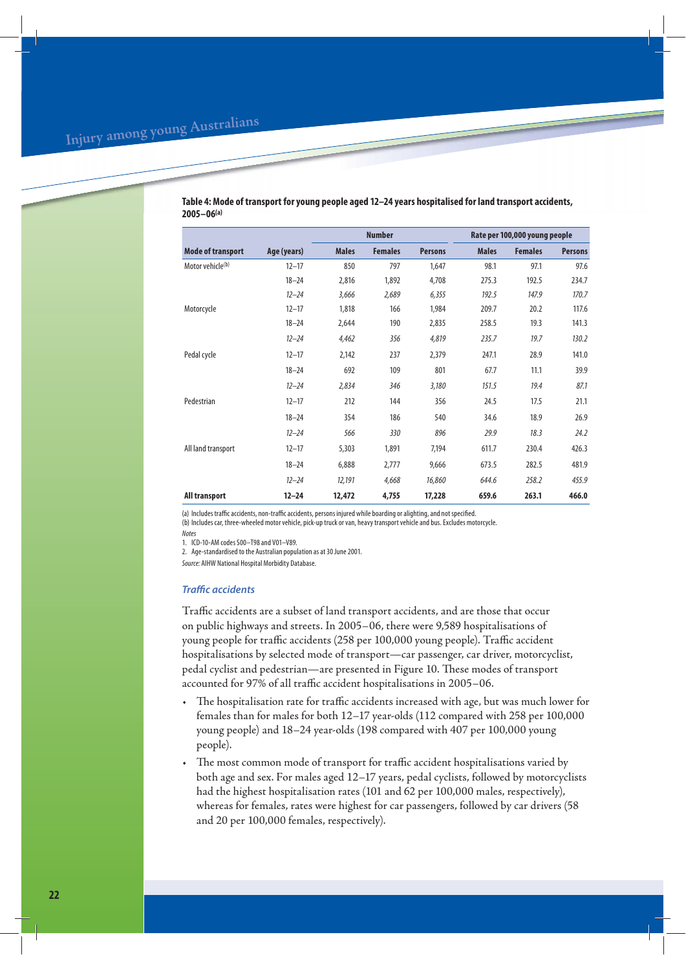|                              |             | <b>Number</b> |                |                |              | Rate per 100,000 young people |                |
|------------------------------|-------------|---------------|----------------|----------------|--------------|-------------------------------|----------------|
| <b>Mode of transport</b>     | Age (years) | <b>Males</b>  | <b>Females</b> | <b>Persons</b> | <b>Males</b> | <b>Females</b>                | <b>Persons</b> |
| Motor vehicle <sup>(b)</sup> | $12 - 17$   | 850           | 797            | 1,647          | 98.1         | 97.1                          | 97.6           |
|                              | $18 - 24$   | 2,816         | 1,892          | 4,708          | 275.3        | 192.5                         | 234.7          |
|                              | $12 - 24$   | 3,666         | 2,689          | 6,355          | 192.5        | 147.9                         | 170.7          |
| Motorcycle                   | $12 - 17$   | 1,818         | 166            | 1,984          | 209.7        | 20.2                          | 117.6          |
|                              | $18 - 24$   | 2,644         | 190            | 2,835          | 258.5        | 19.3                          | 141.3          |
|                              | $12 - 24$   | 4,462         | 356            | 4,819          | 235.7        | 19.7                          | 130.2          |
| Pedal cycle                  | $12 - 17$   | 2,142         | 237            | 2,379          | 247.1        | 28.9                          | 141.0          |
|                              | $18 - 24$   | 692           | 109            | 801            | 67.7         | 11.1                          | 39.9           |
|                              | $12 - 24$   | 2,834         | 346            | 3,180          | 151.5        | 19.4                          | 87.1           |
| Pedestrian                   | $12 - 17$   | 212           | 144            | 356            | 24.5         | 17.5                          | 21.1           |
|                              | $18 - 24$   | 354           | 186            | 540            | 34.6         | 18.9                          | 26.9           |
|                              | $12 - 24$   | 566           | 330            | 896            | 29.9         | 18.3                          | 24.2           |
| All land transport           | $12 - 17$   | 5,303         | 1,891          | 7,194          | 611.7        | 230.4                         | 426.3          |
|                              | $18 - 24$   | 6,888         | 2,777          | 9,666          | 673.5        | 282.5                         | 481.9          |
|                              | $12 - 24$   | 12,191        | 4,668          | 16,860         | 644.6        | 258.2                         | 455.9          |
| All transport                | $12 - 24$   | 12,472        | 4,755          | 17,228         | 659.6        | 263.1                         | 466.0          |

**Table 4: Mode of transport for young people aged 12–24 years hospitalised for land transport accidents, 2005–06(a)**

(a) Includes traffic accidents, non-traffic accidents, persons injured while boarding or alighting, and not specified. (b) Includes car, three-wheeled motor vehicle, pick-up truck or van, heavy transport vehicle and bus. Excludes motorcycle.

Notes

1. ICD-10-AM codes S00–T98 and V01–V89.

2. Age-standardised to the Australian population as at 30 June 2001.

Source: AIHW National Hospital Morbidity Database.

## *Traffic accidents*

Traffic accidents are a subset of land transport accidents, and are those that occur on public highways and streets. In 2005–06, there were 9,589 hospitalisations of young people for traffic accidents (258 per 100,000 young people). Traffic accident hospitalisations by selected mode of transport—car passenger, car driver, motorcyclist, pedal cyclist and pedestrian—are presented in Figure 10. These modes of transport accounted for 97% of all traffic accident hospitalisations in 2005–06.

- The hospitalisation rate for traffic accidents increased with age, but was much lower for females than for males for both 12–17 year-olds (112 compared with 258 per 100,000 young people) and 18–24 year-olds (198 compared with 407 per 100,000 young people).
- The most common mode of transport for traffic accident hospitalisations varied by both age and sex. For males aged 12–17 years, pedal cyclists, followed by motorcyclists had the highest hospitalisation rates (101 and 62 per 100,000 males, respectively), whereas for females, rates were highest for car passengers, followed by car drivers (58 and 20 per 100,000 females, respectively).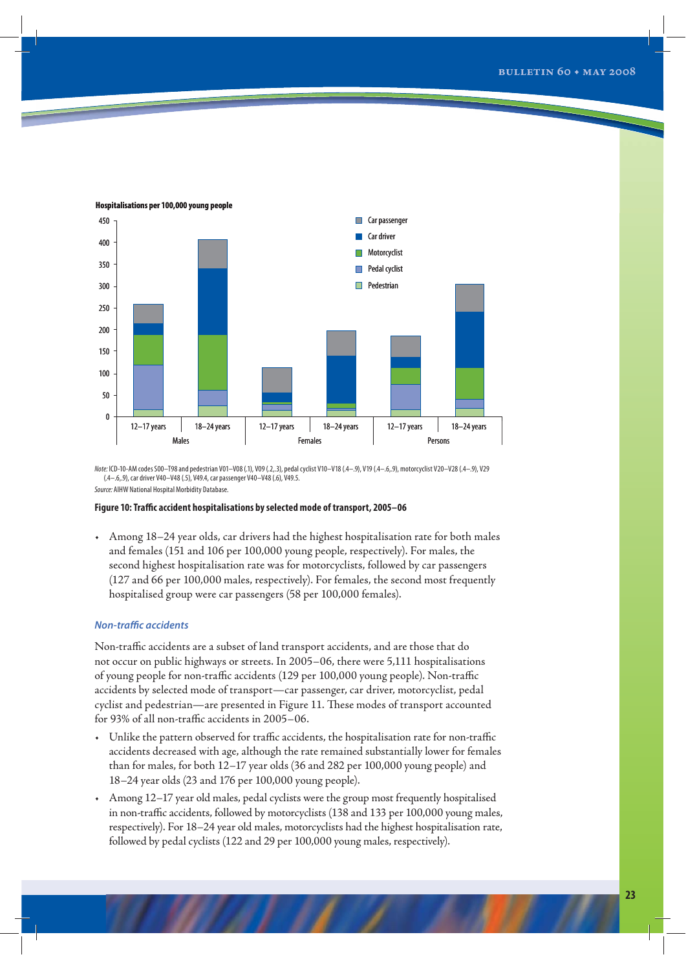

**Hospitalisations per 100,000 young people**

Note: ICD-10-AM codes S00–T98 and pedestrian V01–V08 (.1), V09 (.2,.3), pedal cyclist V10–V18 (.4–.9), V19 (.4–.6,.9), motorcyclist V20–V28 (.4–.9), V29 (.4–.6,.9), car driver V40–V48 (.5), V49.4, car passenger V40–V48 (.6), V49.5. Source: AIHW National Hospital Morbidity Database.

#### **Figure 10: Traffic accident hospitalisations by selected mode of transport, 2005–06**

• Among 18–24 year olds, car drivers had the highest hospitalisation rate for both males and females (151 and 106 per 100,000 young people, respectively). For males, the second highest hospitalisation rate was for motorcyclists, followed by car passengers (127 and 66 per 100,000 males, respectively). For females, the second most frequently hospitalised group were car passengers (58 per 100,000 females).

### *Non-traffic accidents*

Non-traffic accidents are a subset of land transport accidents, and are those that do not occur on public highways or streets. In 2005–06, there were 5,111 hospitalisations of young people for non-traffic accidents (129 per 100,000 young people). Non-traffic accidents by selected mode of transport—car passenger, car driver, motorcyclist, pedal cyclist and pedestrian—are presented in Figure 11. These modes of transport accounted for 93% of all non-traffic accidents in 2005–06.

- Unlike the pattern observed for traffic accidents, the hospitalisation rate for non-traffic accidents decreased with age, although the rate remained substantially lower for females than for males, for both 12–17 year olds (36 and 282 per 100,000 young people) and 18–24 year olds (23 and 176 per 100,000 young people).
- Among 12–17 year old males, pedal cyclists were the group most frequently hospitalised in non-traffic accidents, followed by motorcyclists (138 and 133 per 100,000 young males, respectively). For 18–24 year old males, motorcyclists had the highest hospitalisation rate, followed by pedal cyclists (122 and 29 per 100,000 young males, respectively).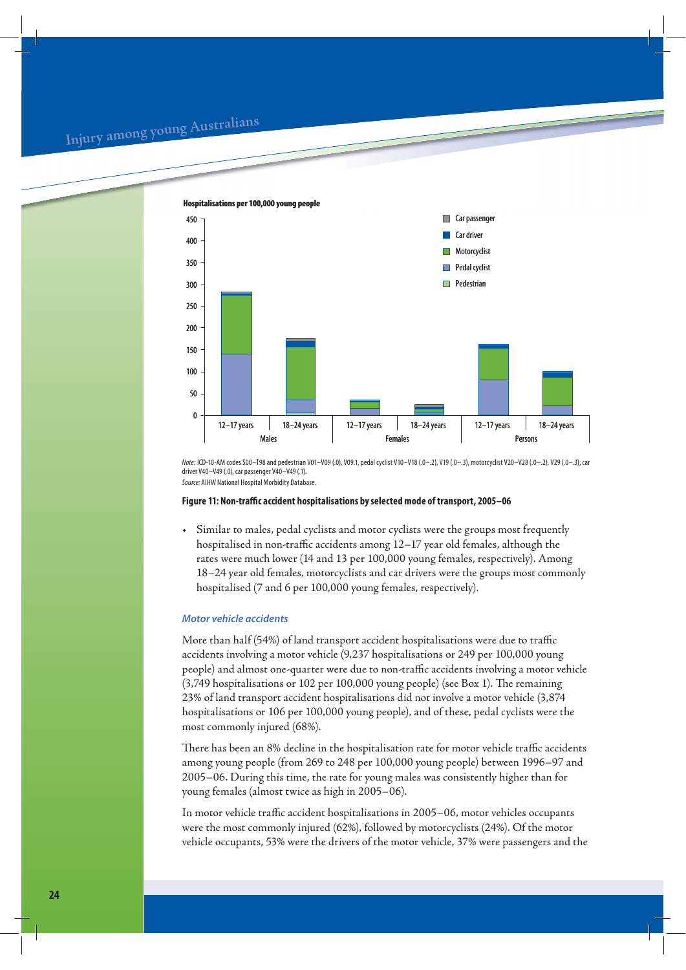## **<sup>I</sup>nju<sup>r</sup><sup>y</sup> <sup>a</sup>mo<sup>n</sup><sup>g</sup> <sup>y</sup><sup>o</sup>u<sup>n</sup><sup>g</sup> <sup>A</sup>ustr<sup>a</sup>lian<sup>s</sup>**



Note: ICD-10-AM codes S00–T98 and pedestrian V01–V09 (.0), V09.1, pedal cyclist V10–V18 (.0–.2), V19 (.0–.3), motorcyclist V20–V28 (.0–.2), V29 (.0–.3), car driver V40–V49 (.0), car passenger V40–V49 (.1). Source: AIHW National Hospital Morbidity Database.

#### **Figure 11: Non-traffic accident hospitalisations by selected mode of transport, 2005–06**

• Similar to males, pedal cyclists and motor cyclists were the groups most frequently hospitalised in non-traffic accidents among 12–17 year old females, although the rates were much lower (14 and 13 per 100,000 young females, respectively). Among 18–24 year old females, motorcyclists and car drivers were the groups most commonly hospitalised (7 and 6 per 100,000 young females, respectively).

## *Motor vehicle accidents*

More than half (54%) of land transport accident hospitalisations were due to traffic accidents involving a motor vehicle (9,237 hospitalisations or 249 per 100,000 young people) and almost one-quarter were due to non-traffic accidents involving a motor vehicle (3,749 hospitalisations or 102 per 100,000 young people) (see Box 1). The remaining 23% of land transport accident hospitalisations did not involve a motor vehicle (3,874 hospitalisations or 106 per 100,000 young people), and of these, pedal cyclists were the most commonly injured (68%).

There has been an 8% decline in the hospitalisation rate for motor vehicle traffic accidents among young people (from 269 to 248 per 100,000 young people) between 1996–97 and 2005–06. During this time, the rate for young males was consistently higher than for young females (almost twice as high in 2005–06).

In motor vehicle traffic accident hospitalisations in 2005–06, motor vehicles occupants were the most commonly injured (62%), followed by motorcyclists (24%). Of the motor vehicle occupants, 53% were the drivers of the motor vehicle, 37% were passengers and the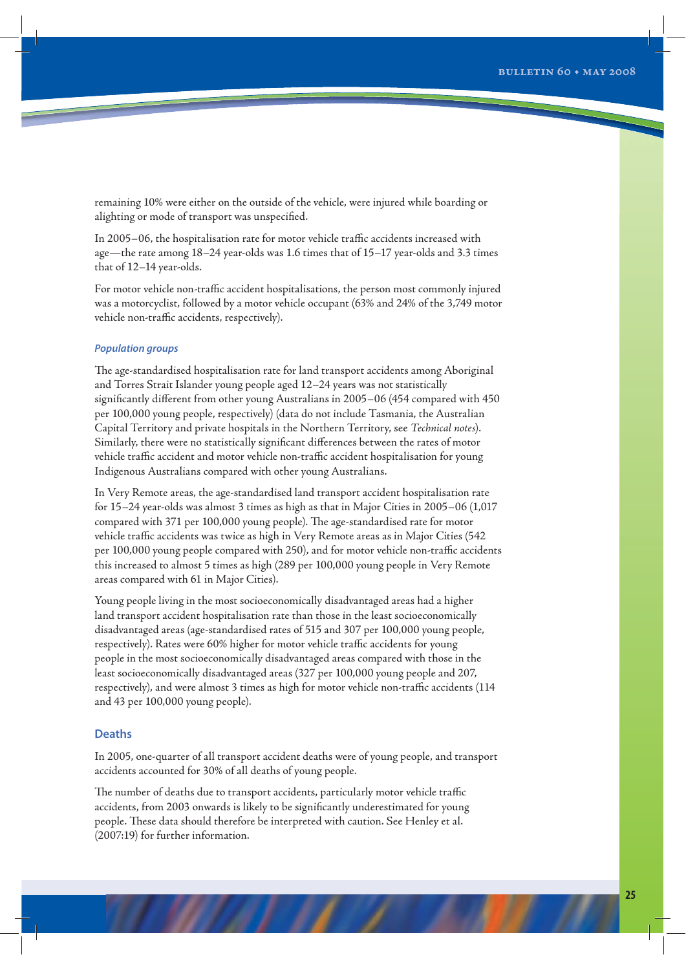remaining 10% were either on the outside of the vehicle, were injured while boarding or alighting or mode of transport was unspecified.

In 2005–06, the hospitalisation rate for motor vehicle traffic accidents increased with age—the rate among 18–24 year-olds was 1.6 times that of 15–17 year-olds and 3.3 times that of 12–14 year-olds.

For motor vehicle non-traffic accident hospitalisations, the person most commonly injured was a motorcyclist, followed by a motor vehicle occupant (63% and 24% of the 3,749 motor vehicle non-traffic accidents, respectively).

## *Population groups*

The age-standardised hospitalisation rate for land transport accidents among Aboriginal and Torres Strait Islander young people aged 12–24 years was not statistically significantly different from other young Australians in 2005–06 (454 compared with 450 per 100,000 young people, respectively) (data do not include Tasmania, the Australian Capital Territory and private hospitals in the Northern Territory, see *Technical notes*). Similarly, there were no statistically significant differences between the rates of motor vehicle traffic accident and motor vehicle non-traffic accident hospitalisation for young Indigenous Australians compared with other young Australians.

In Very Remote areas, the age-standardised land transport accident hospitalisation rate for 15–24 year-olds was almost 3 times as high as that in Major Cities in 2005–06 (1,017 compared with 371 per 100,000 young people). The age-standardised rate for motor vehicle traffic accidents was twice as high in Very Remote areas as in Major Cities (542 per 100,000 young people compared with 250), and for motor vehicle non-traffic accidents this increased to almost 5 times as high (289 per 100,000 young people in Very Remote areas compared with 61 in Major Cities).

Young people living in the most socioeconomically disadvantaged areas had a higher land transport accident hospitalisation rate than those in the least socioeconomically disadvantaged areas (age-standardised rates of 515 and 307 per 100,000 young people, respectively). Rates were 60% higher for motor vehicle traffic accidents for young people in the most socioeconomically disadvantaged areas compared with those in the least socioeconomically disadvantaged areas (327 per 100,000 young people and 207, respectively), and were almost 3 times as high for motor vehicle non-traffic accidents (114 and 43 per 100,000 young people).

## **Deaths**

In 2005, one-quarter of all transport accident deaths were of young people, and transport accidents accounted for 30% of all deaths of young people.

The number of deaths due to transport accidents, particularly motor vehicle traffic accidents, from 2003 onwards is likely to be significantly underestimated for young people. These data should therefore be interpreted with caution. See Henley et al. (2007:19) for further information.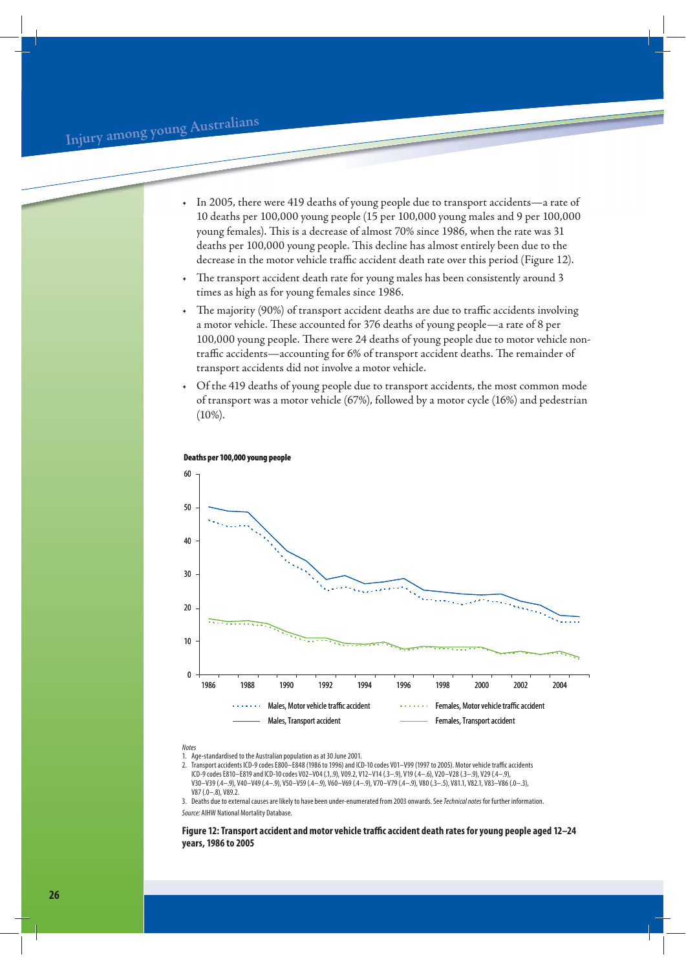- In 2005, there were 419 deaths of young people due to transport accidents—a rate of 10 deaths per 100,000 young people (15 per 100,000 young males and 9 per 100,000 young females). This is a decrease of almost 70% since 1986, when the rate was 31 deaths per 100,000 young people. This decline has almost entirely been due to the decrease in the motor vehicle traffic accident death rate over this period (Figure 12).
- The transport accident death rate for young males has been consistently around 3 times as high as for young females since 1986.
- The majority (90%) of transport accident deaths are due to traffic accidents involving a motor vehicle. These accounted for 376 deaths of young people—a rate of 8 per 100,000 young people. There were 24 deaths of young people due to motor vehicle nontraffic accidents—accounting for 6% of transport accident deaths. The remainder of transport accidents did not involve a motor vehicle.
- Of the 419 deaths of young people due to transport accidents, the most common mode of transport was a motor vehicle (67%), followed by a motor cycle (16%) and pedestrian  $(10\%).$



#### **Deaths per 100,000 young people**

**Notes** 

1. Age-standardised to the Australian population as at 30 June 2001.

2. Transport accidents ICD-9 codes E800–E848 (1986 to 1996) and ICD-10 codes V01–V99 (1997 to 2005). Motor vehicle traffic accidents ICD-9 codes E810–E819 and ICD-10 codes V02–V04 (.1,.9), V09.2, V12–V14 (.3–.9), V19 (.4–.6), V20–V28 (.3–.9), V29 (.4–.9), V30–V39 (.4–.9), V40–V49 (.4–.9), V50–V59 (.4–.9), V60–V69 (.4–.9), V70–V79 (.4–.9), V80 (.3–.5), V81.1, V82.1, V83–V86 (.0–.3), V87 (.0–.8), V89.2.

3. Deaths due to external causes are likely to have been under-enumerated from 2003 onwards. See Technical notes for further information. Source: AIHW National Mortality Database.

**Figure 12: Transport accident and motor vehicle traffic accident death rates for young people aged 12–24 years, 1986 to 2005**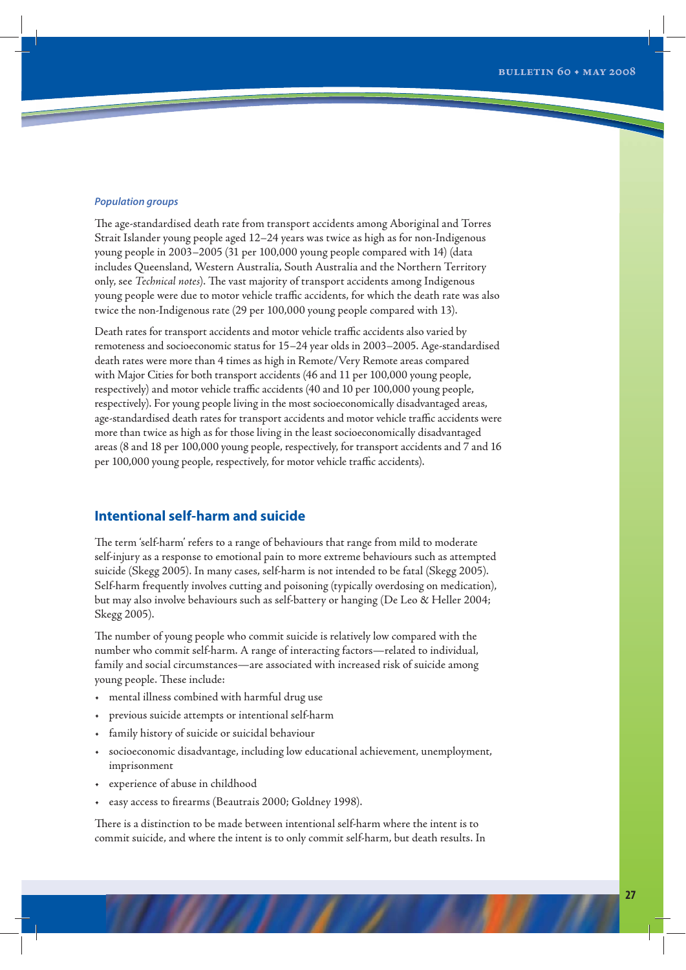#### *Population groups*

The age-standardised death rate from transport accidents among Aboriginal and Torres Strait Islander young people aged 12–24 years was twice as high as for non-Indigenous young people in 2003–2005 (31 per 100,000 young people compared with 14) (data includes Queensland, Western Australia, South Australia and the Northern Territory only, see *Technical notes*). The vast majority of transport accidents among Indigenous young people were due to motor vehicle traffic accidents, for which the death rate was also twice the non-Indigenous rate (29 per 100,000 young people compared with 13).

Death rates for transport accidents and motor vehicle traffic accidents also varied by remoteness and socioeconomic status for 15–24 year olds in 2003–2005. Age-standardised death rates were more than 4 times as high in Remote/Very Remote areas compared with Major Cities for both transport accidents (46 and 11 per 100,000 young people, respectively) and motor vehicle traffic accidents (40 and 10 per 100,000 young people, respectively). For young people living in the most socioeconomically disadvantaged areas, age-standardised death rates for transport accidents and motor vehicle traffic accidents were more than twice as high as for those living in the least socioeconomically disadvantaged areas (8 and 18 per 100,000 young people, respectively, for transport accidents and 7 and 16 per 100,000 young people, respectively, for motor vehicle traffic accidents).

## **Intentional self-harm and suicide**

The term 'self-harm' refers to a range of behaviours that range from mild to moderate self-injury as a response to emotional pain to more extreme behaviours such as attempted suicide (Skegg 2005). In many cases, self-harm is not intended to be fatal (Skegg 2005). Self-harm frequently involves cutting and poisoning (typically overdosing on medication), but may also involve behaviours such as self-battery or hanging (De Leo & Heller 2004; Skegg 2005).

The number of young people who commit suicide is relatively low compared with the number who commit self-harm. A range of interacting factors—related to individual, family and social circumstances—are associated with increased risk of suicide among young people. These include:

- mental illness combined with harmful drug use
- previous suicide attempts or intentional self-harm
- family history of suicide or suicidal behaviour
- socioeconomic disadvantage, including low educational achievement, unemployment, imprisonment
- experience of abuse in childhood
- easy access to firearms (Beautrais 2000; Goldney 1998).

There is a distinction to be made between intentional self-harm where the intent is to commit suicide, and where the intent is to only commit self-harm, but death results. In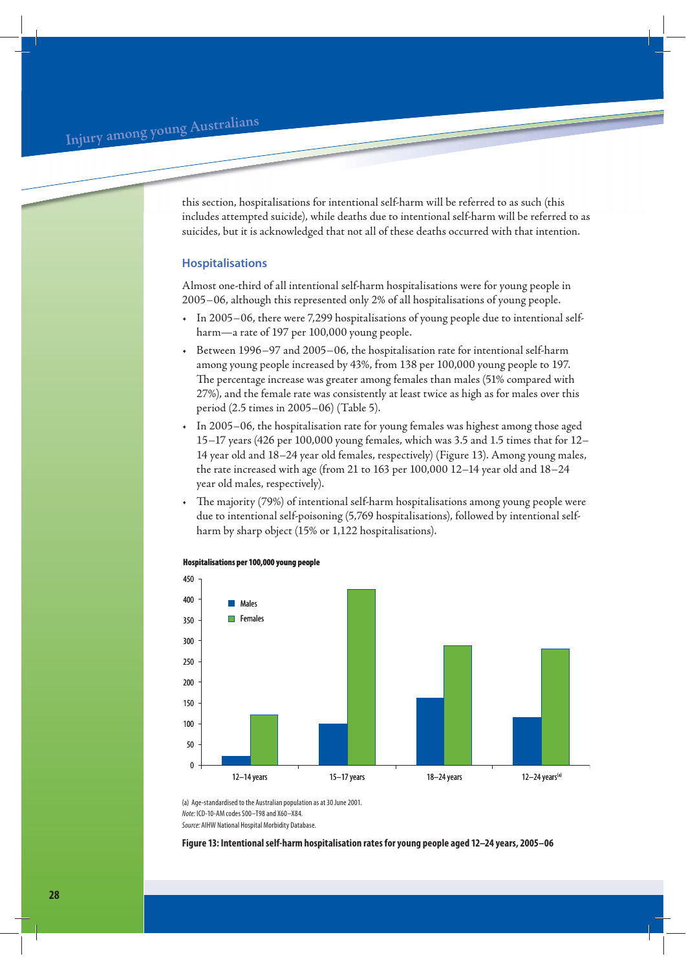**<sup>I</sup>nju<sup>r</sup><sup>y</sup> <sup>a</sup>mo<sup>n</sup><sup>g</sup> <sup>y</sup><sup>o</sup>u<sup>n</sup><sup>g</sup> <sup>A</sup>ustr<sup>a</sup>lian<sup>s</sup>**

this section, hospitalisations for intentional self-harm will be referred to as such (this includes attempted suicide), while deaths due to intentional self-harm will be referred to as suicides, but it is acknowledged that not all of these deaths occurred with that intention.

## **Hospitalisations**

Almost one-third of all intentional self-harm hospitalisations were for young people in 2005−06, although this represented only 2% of all hospitalisations of young people.

- In 2005−06, there were 7,299 hospitalisations of young people due to intentional selfharm—a rate of 197 per 100,000 young people.
- Between 1996−97 and 2005−06, the hospitalisation rate for intentional self-harm among young people increased by 43%, from 138 per 100,000 young people to 197. The percentage increase was greater among females than males (51% compared with 27%), and the female rate was consistently at least twice as high as for males over this period (2.5 times in 2005–06) (Table 5).
- In 2005–06, the hospitalisation rate for young females was highest among those aged 15−17 years (426 per 100,000 young females, which was 3.5 and 1.5 times that for 12– 14 year old and 18–24 year old females, respectively) (Figure 13). Among young males, the rate increased with age (from 21 to 163 per 100,000 12–14 year old and 18−24 year old males, respectively).
- The majority (79%) of intentional self-harm hospitalisations among young people were due to intentional self-poisoning (5,769 hospitalisations), followed by intentional selfharm by sharp object (15% or 1,122 hospitalisations).



#### **Hospitalisations per 100,000 young people**

(a) Age-standardised to the Australian population as at 30 June 2001. Note: ICD-10-AM codes S00–T98 and X60–X84. Source: AIHW National Hospital Morbidity Database.

**Figure 13: Intentional self-harm hospitalisation rates for young people aged 12–24 years, 2005–06**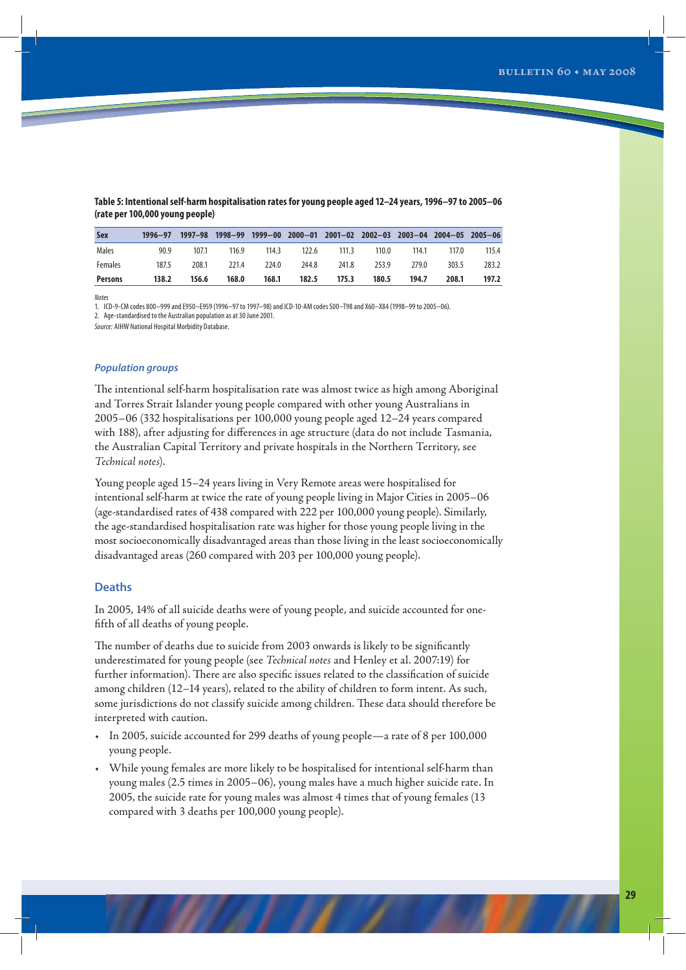| <b>Sex</b>     | $1996 - 97$ | 1997–98 |       |       | 1998-99 1999-00 2000-01 2001-02 2002-03 2003-04 2004-05 2005-06 |       |       |       |       |       |
|----------------|-------------|---------|-------|-------|-----------------------------------------------------------------|-------|-------|-------|-------|-------|
| Males          | 90.9        | 107.1   | 116.9 | 114.3 | 122.6                                                           | 111.3 | 110.0 | 114.1 | 117.0 | 115.4 |
| <b>Females</b> | 187.5       | 208.1   | 221.4 | 224.0 | 244.8                                                           | 241.8 | 253.9 | 279.0 | 303.5 | 283.2 |
| Persons        | 138.2       | 156.6   | 168.0 | 168.1 | 182.5                                                           | 175.3 | 180.5 | 194.7 | 208.1 | 197.2 |

**Table 5: Intentional self-harm hospitalisation rates for young people aged 12–24 years, 1996–97 to 2005–06 (rate per 100,000 young people)**

Notes

1. ICD-9-CM codes 800–999 and E950–E959 (1996–97 to 1997–98) and ICD-10-AM codes S00–T98 and X60–X84 (1998–99 to 2005–06).

2. Age-standardised to the Australian population as at 30 June 2001.

Source: AIHW National Hospital Morbidity Database.

## *Population groups*

The intentional self-harm hospitalisation rate was almost twice as high among Aboriginal and Torres Strait Islander young people compared with other young Australians in 2005–06 (332 hospitalisations per 100,000 young people aged 12–24 years compared with 188), after adjusting for differences in age structure (data do not include Tasmania, the Australian Capital Territory and private hospitals in the Northern Territory, see *Technical notes*).

Young people aged 15–24 years living in Very Remote areas were hospitalised for intentional self-harm at twice the rate of young people living in Major Cities in 2005–06 (age-standardised rates of 438 compared with 222 per 100,000 young people). Similarly, the age-standardised hospitalisation rate was higher for those young people living in the most socioeconomically disadvantaged areas than those living in the least socioeconomically disadvantaged areas (260 compared with 203 per 100,000 young people).

## **Deaths**

In 2005, 14% of all suicide deaths were of young people, and suicide accounted for onefifth of all deaths of young people.

The number of deaths due to suicide from 2003 onwards is likely to be significantly underestimated for young people (see *Technical notes* and Henley et al. 2007:19) for further information). There are also specific issues related to the classification of suicide among children (12–14 years), related to the ability of children to form intent. As such, some jurisdictions do not classify suicide among children. These data should therefore be interpreted with caution.

- In 2005, suicide accounted for 299 deaths of young people—a rate of 8 per 100,000 young people.
- While young females are more likely to be hospitalised for intentional self-harm than young males (2.5 times in 2005–06), young males have a much higher suicide rate. In 2005, the suicide rate for young males was almost 4 times that of young females (13 compared with 3 deaths per 100,000 young people).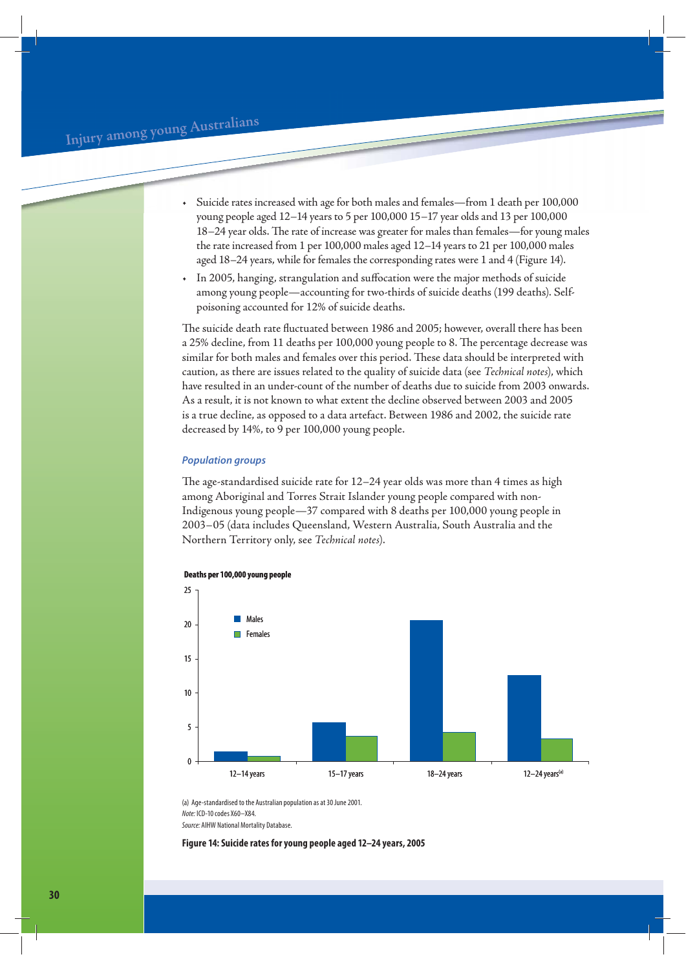- Suicide rates increased with age for both males and females—from 1 death per 100,000 young people aged 12−14 years to 5 per 100,000 15−17 year olds and 13 per 100,000 18−24 year olds. The rate of increase was greater for males than females—for young males the rate increased from 1 per 100,000 males aged 12–14 years to 21 per 100,000 males aged 18–24 years, while for females the corresponding rates were 1 and 4 (Figure 14).
- In 2005, hanging, strangulation and suffocation were the major methods of suicide among young people—accounting for two-thirds of suicide deaths (199 deaths). Selfpoisoning accounted for 12% of suicide deaths.

The suicide death rate fluctuated between 1986 and 2005; however, overall there has been a 25% decline, from 11 deaths per 100,000 young people to 8. The percentage decrease was similar for both males and females over this period. These data should be interpreted with caution, as there are issues related to the quality of suicide data (see *Technical notes*), which have resulted in an under-count of the number of deaths due to suicide from 2003 onwards. As a result, it is not known to what extent the decline observed between 2003 and 2005 is a true decline, as opposed to a data artefact. Between 1986 and 2002, the suicide rate decreased by 14%, to 9 per 100,000 young people.

## *Population groups*

The age-standardised suicide rate for 12–24 year olds was more than 4 times as high among Aboriginal and Torres Strait Islander young people compared with non-Indigenous young people—37 compared with 8 deaths per 100,000 young people in 2003–05 (data includes Queensland, Western Australia, South Australia and the Northern Territory only, see *Technical notes*).



(a) Age-standardised to the Australian population as at 30 June 2001. Note: ICD-10 codes X60–X84. Source: AIHW National Mortality Database.

**Figure 14: Suicide rates for young people aged 12–24 years, 2005**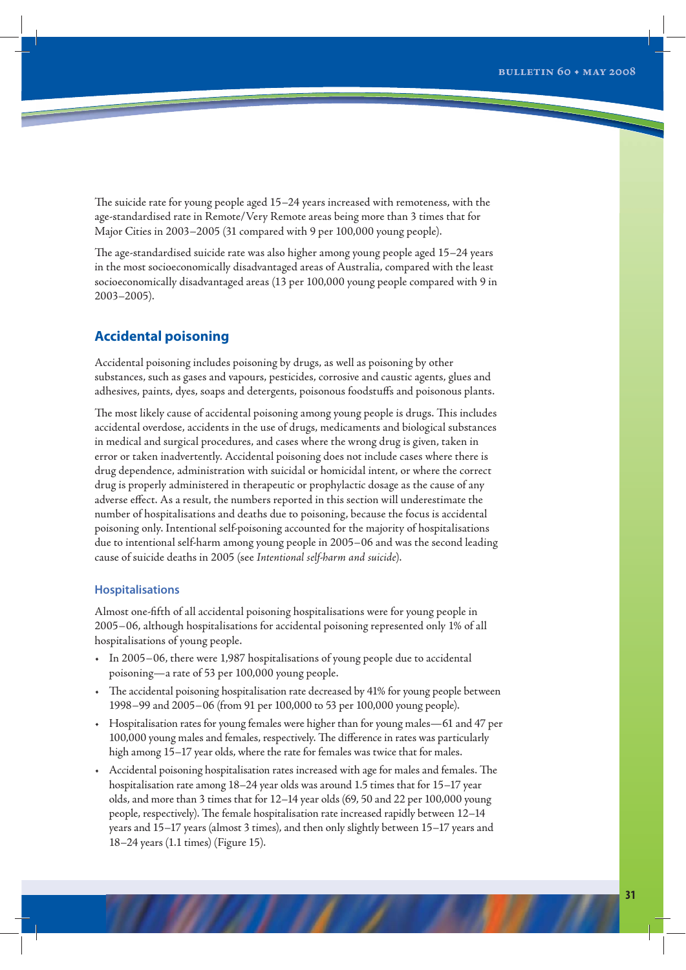The suicide rate for young people aged 15–24 years increased with remoteness, with the age-standardised rate in Remote/Very Remote areas being more than 3 times that for Major Cities in 2003−2005 (31 compared with 9 per 100,000 young people).

The age-standardised suicide rate was also higher among young people aged 15–24 years in the most socioeconomically disadvantaged areas of Australia, compared with the least socioeconomically disadvantaged areas (13 per 100,000 young people compared with 9 in 2003–2005).

## **Accidental poisoning**

Accidental poisoning includes poisoning by drugs, as well as poisoning by other substances, such as gases and vapours, pesticides, corrosive and caustic agents, glues and adhesives, paints, dyes, soaps and detergents, poisonous foodstuffs and poisonous plants.

The most likely cause of accidental poisoning among young people is drugs. This includes accidental overdose, accidents in the use of drugs, medicaments and biological substances in medical and surgical procedures, and cases where the wrong drug is given, taken in error or taken inadvertently. Accidental poisoning does not include cases where there is drug dependence, administration with suicidal or homicidal intent, or where the correct drug is properly administered in therapeutic or prophylactic dosage as the cause of any adverse effect. As a result, the numbers reported in this section will underestimate the number of hospitalisations and deaths due to poisoning, because the focus is accidental poisoning only. Intentional self-poisoning accounted for the majority of hospitalisations due to intentional self-harm among young people in 2005–06 and was the second leading cause of suicide deaths in 2005 (see *Intentional self-harm and suicide*).

## **Hospitalisations**

Almost one-fifth of all accidental poisoning hospitalisations were for young people in 2005−06, although hospitalisations for accidental poisoning represented only 1% of all hospitalisations of young people.

- In 2005−06, there were 1,987 hospitalisations of young people due to accidental poisoning—a rate of 53 per 100,000 young people.
- The accidental poisoning hospitalisation rate decreased by 41% for young people between 1998−99 and 2005−06 (from 91 per 100,000 to 53 per 100,000 young people).
- Hospitalisation rates for young females were higher than for young males—61 and 47 per 100,000 young males and females, respectively. The difference in rates was particularly high among 15–17 year olds, where the rate for females was twice that for males.
- Accidental poisoning hospitalisation rates increased with age for males and females. The hospitalisation rate among 18–24 year olds was around 1.5 times that for 15–17 year olds, and more than 3 times that for 12–14 year olds (69, 50 and 22 per 100,000 young people, respectively). The female hospitalisation rate increased rapidly between 12–14 years and 15–17 years (almost 3 times), and then only slightly between 15–17 years and 18–24 years (1.1 times) (Figure 15).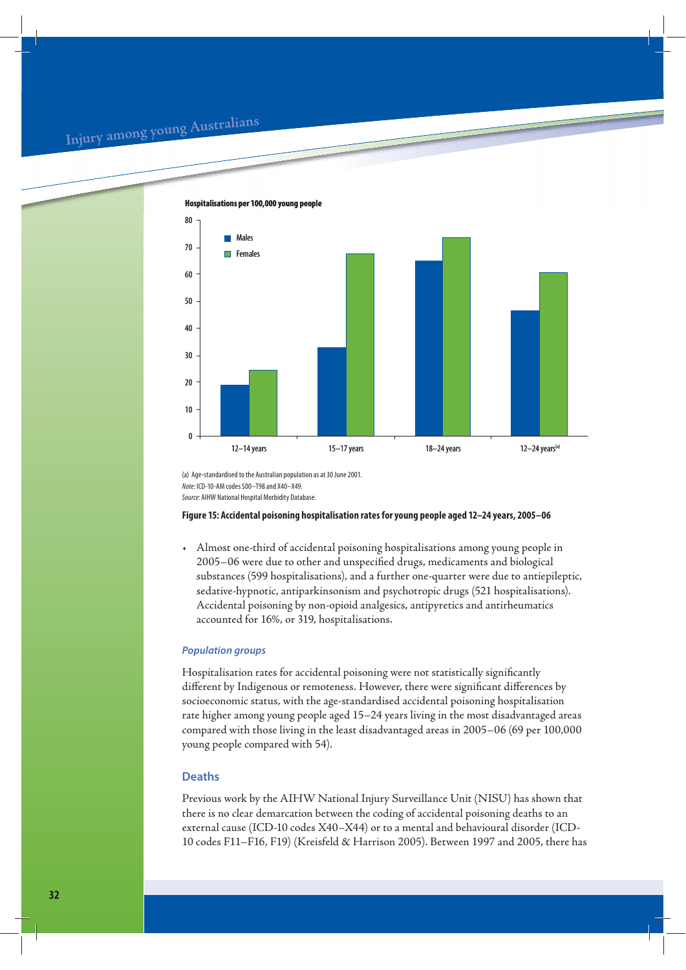## **<sup>I</sup>nju<sup>r</sup><sup>y</sup> <sup>a</sup>mo<sup>n</sup><sup>g</sup> <sup>y</sup><sup>o</sup>u<sup>n</sup><sup>g</sup> <sup>A</sup>ustr<sup>a</sup>lian<sup>s</sup>**



(a) Age-standardised to the Australian population as at 30 June 2001. Note: ICD-10-AM codes S00–T98 and X40–X49. Source: AIHW National Hospital Morbidity Database.

#### **Figure 15: Accidental poisoning hospitalisation rates for young people aged 12–24 years, 2005–06**

• Almost one-third of accidental poisoning hospitalisations among young people in 2005–06 were due to other and unspecified drugs, medicaments and biological substances (599 hospitalisations), and a further one-quarter were due to antiepileptic, sedative-hypnotic, antiparkinsonism and psychotropic drugs (521 hospitalisations). Accidental poisoning by non-opioid analgesics, antipyretics and antirheumatics accounted for 16%, or 319, hospitalisations.

## *Population groups*

Hospitalisation rates for accidental poisoning were not statistically significantly different by Indigenous or remoteness. However, there were significant differences by socioeconomic status, with the age-standardised accidental poisoning hospitalisation rate higher among young people aged 15–24 years living in the most disadvantaged areas compared with those living in the least disadvantaged areas in 2005–06 (69 per 100,000 young people compared with 54).

## **Deaths**

Previous work by the AIHW National Injury Surveillance Unit (NISU) has shown that there is no clear demarcation between the coding of accidental poisoning deaths to an external cause (ICD-10 codes X40–X44) or to a mental and behavioural disorder (ICD-10 codes F11–F16, F19) (Kreisfeld & Harrison 2005). Between 1997 and 2005, there has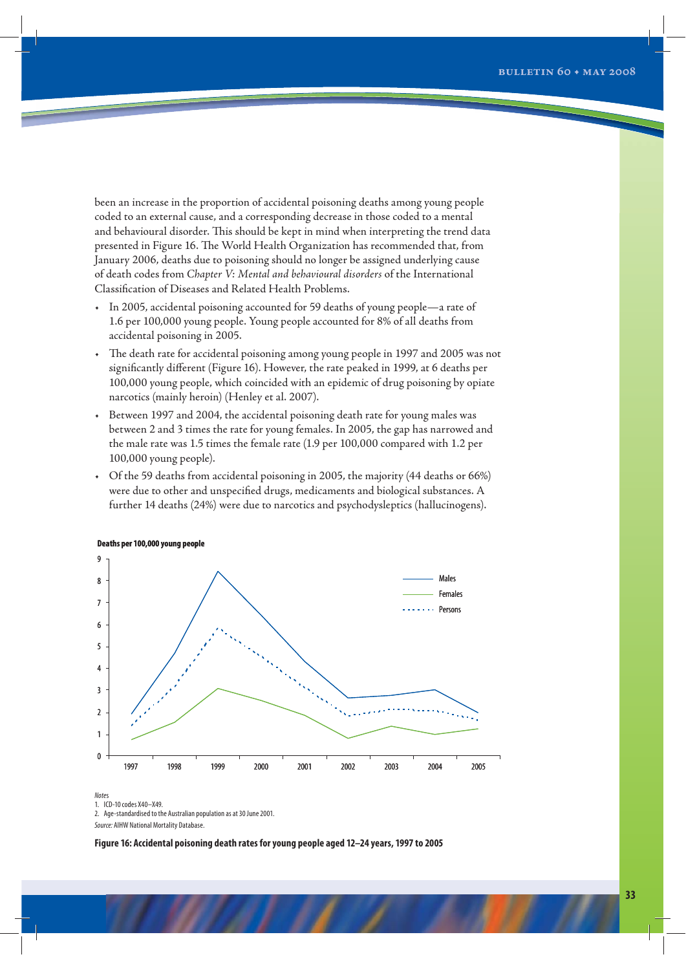been an increase in the proportion of accidental poisoning deaths among young people coded to an external cause, and a corresponding decrease in those coded to a mental and behavioural disorder. This should be kept in mind when interpreting the trend data presented in Figure 16. The World Health Organization has recommended that, from January 2006, deaths due to poisoning should no longer be assigned underlying cause of death codes from *Chapter V: Mental and behavioural disorders* of the International Classification of Diseases and Related Health Problems.

- In 2005, accidental poisoning accounted for 59 deaths of young people—a rate of 1.6 per 100,000 young people. Young people accounted for 8% of all deaths from accidental poisoning in 2005.
- The death rate for accidental poisoning among young people in 1997 and 2005 was not significantly different (Figure 16). However, the rate peaked in 1999, at 6 deaths per 100,000 young people, which coincided with an epidemic of drug poisoning by opiate narcotics (mainly heroin) (Henley et al. 2007).
- Between 1997 and 2004, the accidental poisoning death rate for young males was between 2 and 3 times the rate for young females. In 2005, the gap has narrowed and the male rate was 1.5 times the female rate (1.9 per 100,000 compared with 1.2 per 100,000 young people).
- Of the 59 deaths from accidental poisoning in 2005, the majority (44 deaths or 66%) were due to other and unspecified drugs, medicaments and biological substances. A further 14 deaths (24%) were due to narcotics and psychodysleptics (hallucinogens).



#### **Deaths per 100,000 young people**

Notes

1. ICD-10 codes X40–X49.

2. Age-standardised to the Australian population as at 30 June 2001.

Source: AIHW National Mortality Database.

**Figure 16: Accidental poisoning death rates for young people aged 12–24 years, 1997 to 2005**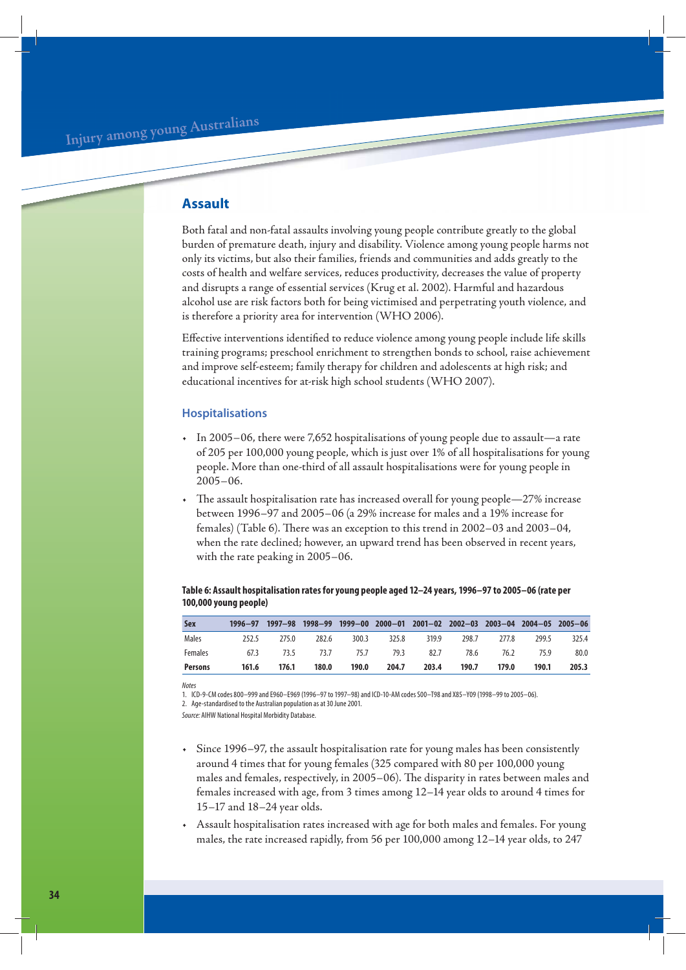## **Assault**

Both fatal and non-fatal assaults involving young people contribute greatly to the global burden of premature death, injury and disability. Violence among young people harms not only its victims, but also their families, friends and communities and adds greatly to the costs of health and welfare services, reduces productivity, decreases the value of property and disrupts a range of essential services (Krug et al. 2002). Harmful and hazardous alcohol use are risk factors both for being victimised and perpetrating youth violence, and is therefore a priority area for intervention (WHO 2006).

Effective interventions identified to reduce violence among young people include life skills training programs; preschool enrichment to strengthen bonds to school, raise achievement and improve self-esteem; family therapy for children and adolescents at high risk; and educational incentives for at-risk high school students (WHO 2007).

## **Hospitalisations**

- In 2005−06, there were 7,652 hospitalisations of young people due to assault—a rate of 205 per 100,000 young people, which is just over 1% of all hospitalisations for young people. More than one-third of all assault hospitalisations were for young people in 2005−06.
- The assault hospitalisation rate has increased overall for young people—27% increase between 1996–97 and 2005–06 (a 29% increase for males and a 19% increase for females) (Table 6). There was an exception to this trend in 2002–03 and 2003–04, when the rate declined; however, an upward trend has been observed in recent years, with the rate peaking in 2005–06.

## **Table 6: Assault hospitalisation rates for young people aged 12–24 years, 1996–97 to 2005–06 (rate per 100,000 young people)**

| <b>Sex</b>     | $1996 - 97$ |       |       |       | 1997-98 1998-99 1999-00 2000-01 2001-02 2002-03 2003-04 2004-05 2005-06 |             |       |                |       |       |
|----------------|-------------|-------|-------|-------|-------------------------------------------------------------------------|-------------|-------|----------------|-------|-------|
| Males          | 252.5       | 275.0 | 282.6 | 300.3 |                                                                         | 325.8 319.9 | 298.7 | 277.8          | 299.5 | 325.4 |
| Females        |             |       |       |       | 67.3 73.5 73.7 75.7 79.3 82.7                                           |             |       | 78.6 76.2 75.9 |       | 80.0  |
| <b>Persons</b> | 161.6       | 176.1 | 180.0 | 190.0 | 204.7                                                                   | 203.4       | 190.7 | 179.0          | 190.1 | 205.3 |

**Notes** 

1. ICD-9-CM codes 800–999 and E960–E969 (1996–97 to 1997–98) and ICD-10-AM codes S00–T98 and X85–Y09 (1998–99 to 2005–06). 2. Age-standardised to the Australian population as at 30 June 2001.

Source: AIHW National Hospital Morbidity Database.

- Since 1996–97, the assault hospitalisation rate for young males has been consistently around 4 times that for young females (325 compared with 80 per 100,000 young males and females, respectively, in 2005–06). The disparity in rates between males and females increased with age, from 3 times among 12–14 year olds to around 4 times for 15–17 and 18–24 year olds.
- Assault hospitalisation rates increased with age for both males and females. For young males, the rate increased rapidly, from 56 per 100,000 among 12–14 year olds, to 247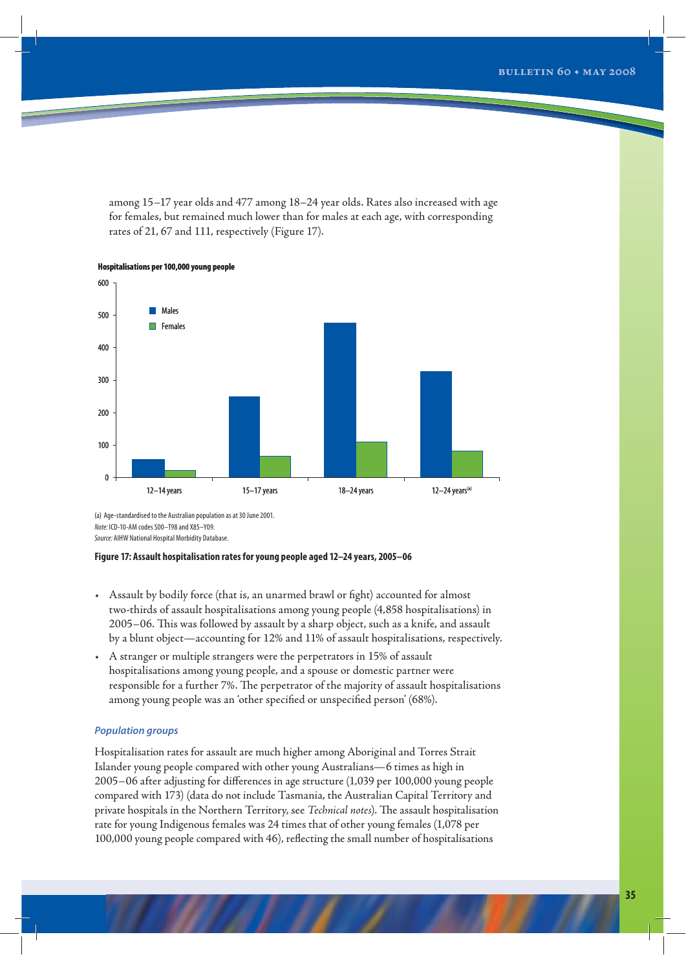among 15–17 year olds and 477 among 18–24 year olds. Rates also increased with age for females, but remained much lower than for males at each age, with corresponding rates of 21, 67 and 111, respectively (Figure 17).



**Hospitalisations per 100,000 young people**

(a) Age-standardised to the Australian population as at 30 June 2001. Note: ICD-10-AM codes S00–T98 and X85–Y09. Source: AIHW National Hospital Morbidity Database.

### **Figure 17: Assault hospitalisation rates for young people aged 12–24 years, 2005–06**

- Assault by bodily force (that is, an unarmed brawl or fight) accounted for almost two-thirds of assault hospitalisations among young people (4,858 hospitalisations) in 2005–06. This was followed by assault by a sharp object, such as a knife, and assault by a blunt object—accounting for 12% and 11% of assault hospitalisations, respectively.
- A stranger or multiple strangers were the perpetrators in 15% of assault hospitalisations among young people, and a spouse or domestic partner were responsible for a further 7%. The perpetrator of the majority of assault hospitalisations among young people was an 'other specified or unspecified person' (68%).

## *Population groups*

Hospitalisation rates for assault are much higher among Aboriginal and Torres Strait Islander young people compared with other young Australians—6 times as high in 2005−06 after adjusting for differences in age structure (1,039 per 100,000 young people compared with 173) (data do not include Tasmania, the Australian Capital Territory and private hospitals in the Northern Territory, see *Technical notes*). The assault hospitalisation rate for young Indigenous females was 24 times that of other young females (1,078 per 100,000 young people compared with 46), reflecting the small number of hospitalisations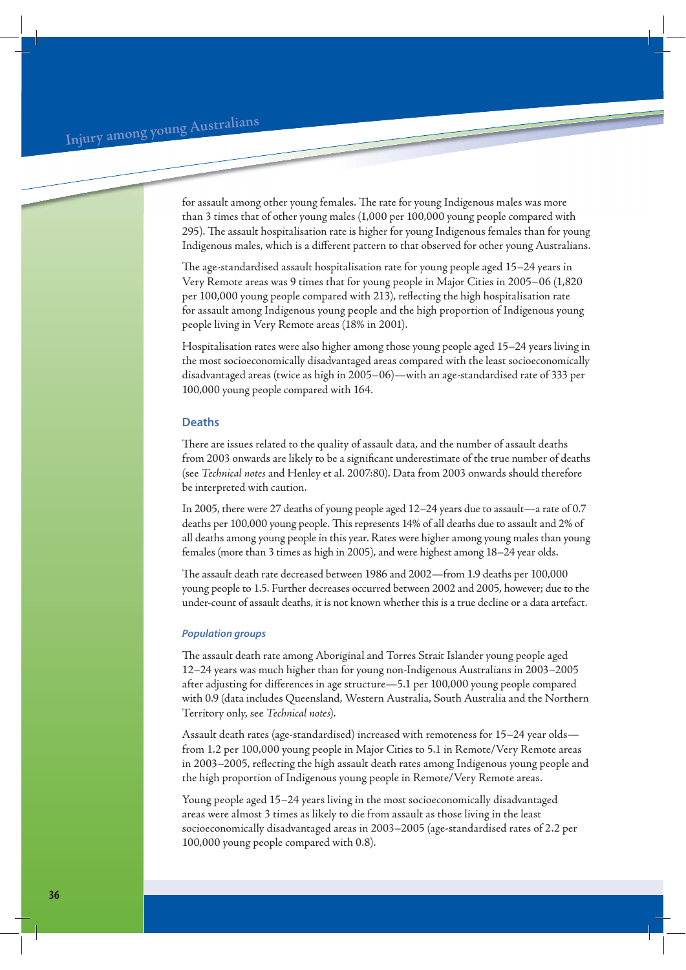for assault among other young females. The rate for young Indigenous males was more than 3 times that of other young males (1,000 per 100,000 young people compared with 295). The assault hospitalisation rate is higher for young Indigenous females than for young Indigenous males, which is a different pattern to that observed for other young Australians.

The age-standardised assault hospitalisation rate for young people aged 15–24 years in Very Remote areas was 9 times that for young people in Major Cities in 2005–06 (1,820 per 100,000 young people compared with 213), reflecting the high hospitalisation rate for assault among Indigenous young people and the high proportion of Indigenous young people living in Very Remote areas (18% in 2001).

Hospitalisation rates were also higher among those young people aged 15–24 years living in the most socioeconomically disadvantaged areas compared with the least socioeconomically disadvantaged areas (twice as high in 2005–06)—with an age-standardised rate of 333 per 100,000 young people compared with 164.

## **Deaths**

There are issues related to the quality of assault data, and the number of assault deaths from 2003 onwards are likely to be a significant underestimate of the true number of deaths (see *Technical notes* and Henley et al. 2007:80). Data from 2003 onwards should therefore be interpreted with caution.

In 2005, there were 27 deaths of young people aged 12–24 years due to assault—a rate of 0.7 deaths per 100,000 young people. This represents 14% of all deaths due to assault and 2% of all deaths among young people in this year. Rates were higher among young males than young females (more than 3 times as high in 2005), and were highest among 18–24 year olds.

The assault death rate decreased between 1986 and 2002—from 1.9 deaths per 100,000 young people to 1.5. Further decreases occurred between 2002 and 2005, however; due to the under-count of assault deaths, it is not known whether this is a true decline or a data artefact.

## *Population groups*

The assault death rate among Aboriginal and Torres Strait Islander young people aged 12–24 years was much higher than for young non-Indigenous Australians in 2003–2005 after adjusting for differences in age structure—5.1 per 100,000 young people compared with 0.9 (data includes Queensland, Western Australia, South Australia and the Northern Territory only, see *Technical notes*).

Assault death rates (age-standardised) increased with remoteness for 15–24 year olds from 1.2 per 100,000 young people in Major Cities to 5.1 in Remote/Very Remote areas in 2003–2005, reflecting the high assault death rates among Indigenous young people and the high proportion of Indigenous young people in Remote/Very Remote areas.

Young people aged 15–24 years living in the most socioeconomically disadvantaged areas were almost 3 times as likely to die from assault as those living in the least socioeconomically disadvantaged areas in 2003–2005 (age-standardised rates of 2.2 per 100,000 young people compared with 0.8).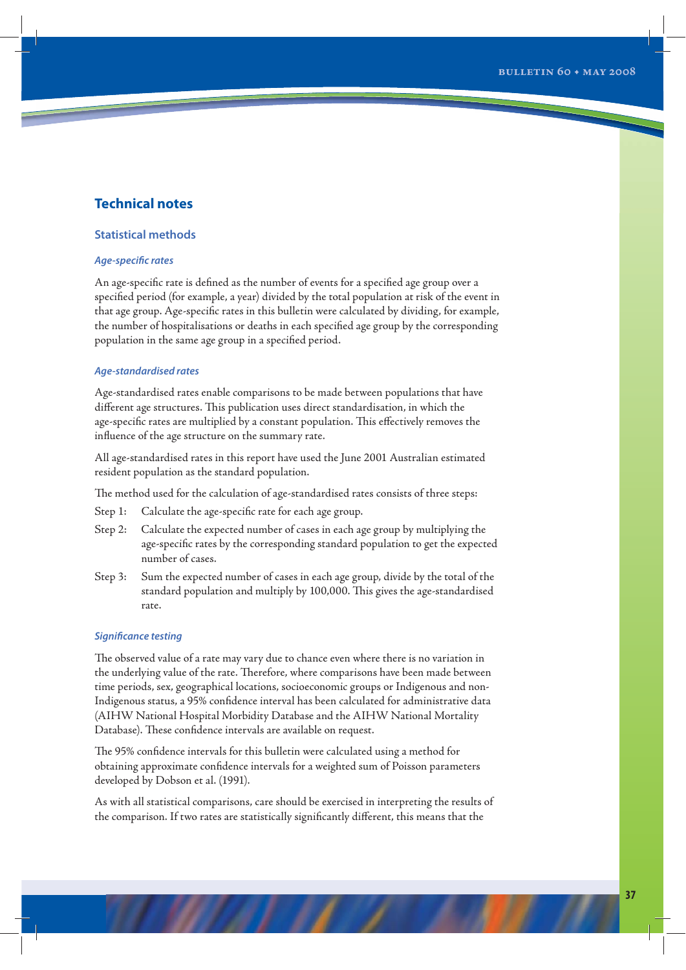## **Technical notes**

## **Statistical methods**

## *Age-specific rates*

An age-specific rate is defined as the number of events for a specified age group over a specified period (for example, a year) divided by the total population at risk of the event in that age group. Age-specific rates in this bulletin were calculated by dividing, for example, the number of hospitalisations or deaths in each specified age group by the corresponding population in the same age group in a specified period.

## *Age-standardised rates*

Age-standardised rates enable comparisons to be made between populations that have different age structures. This publication uses direct standardisation, in which the age-specific rates are multiplied by a constant population. This effectively removes the influence of the age structure on the summary rate.

All age-standardised rates in this report have used the June 2001 Australian estimated resident population as the standard population.

The method used for the calculation of age-standardised rates consists of three steps:

- Step 1: Calculate the age-specific rate for each age group.
- Step 2: Calculate the expected number of cases in each age group by multiplying the age-specific rates by the corresponding standard population to get the expected number of cases.
- Step 3: Sum the expected number of cases in each age group, divide by the total of the standard population and multiply by 100,000. This gives the age-standardised rate.

## *Significance testing*

The observed value of a rate may vary due to chance even where there is no variation in the underlying value of the rate. Therefore, where comparisons have been made between time periods, sex, geographical locations, socioeconomic groups or Indigenous and non-Indigenous status, a 95% confidence interval has been calculated for administrative data (AIHW National Hospital Morbidity Database and the AIHW National Mortality Database). These confidence intervals are available on request.

The 95% confidence intervals for this bulletin were calculated using a method for obtaining approximate confidence intervals for a weighted sum of Poisson parameters developed by Dobson et al. (1991).

As with all statistical comparisons, care should be exercised in interpreting the results of the comparison. If two rates are statistically significantly different, this means that the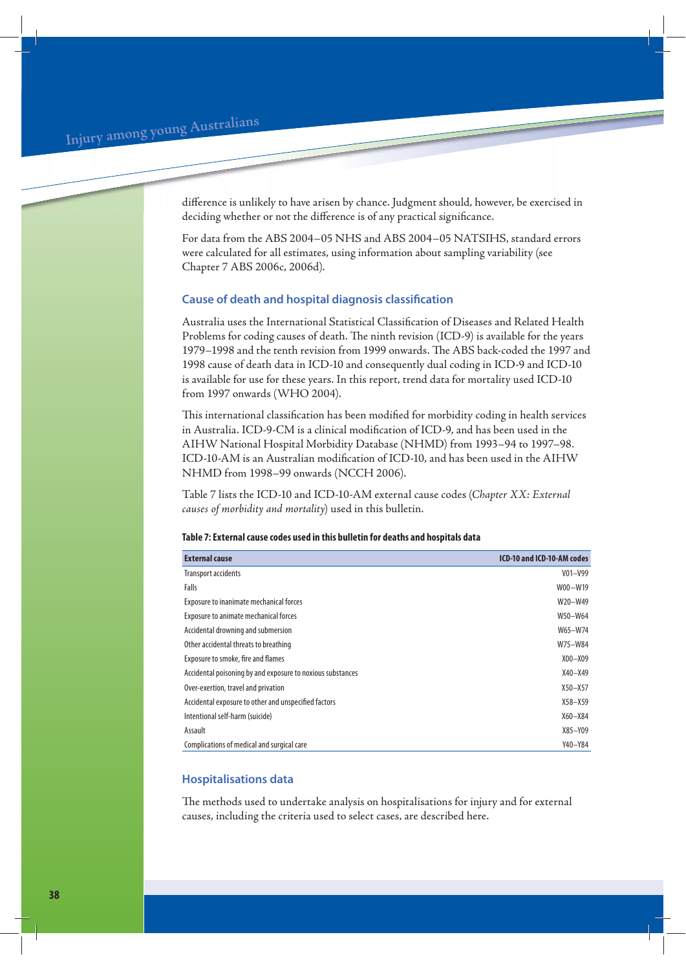difference is unlikely to have arisen by chance. Judgment should, however, be exercised in deciding whether or not the difference is of any practical significance.

For data from the ABS 2004–05 NHS and ABS 2004–05 NATSIHS, standard errors were calculated for all estimates, using information about sampling variability (see Chapter 7 ABS 2006c, 2006d).

## **Cause of death and hospital diagnosis classification**

Australia uses the International Statistical Classification of Diseases and Related Health Problems for coding causes of death. The ninth revision (ICD-9) is available for the years 1979–1998 and the tenth revision from 1999 onwards. The ABS back-coded the 1997 and 1998 cause of death data in ICD-10 and consequently dual coding in ICD-9 and ICD-10 is available for use for these years. In this report, trend data for mortality used ICD-10 from 1997 onwards (WHO 2004).

This international classification has been modified for morbidity coding in health services in Australia. ICD-9-CM is a clinical modification of ICD-9, and has been used in the AIHW National Hospital Morbidity Database (NHMD) from 1993–94 to 1997–98. ICD-10-AM is an Australian modification of ICD-10, and has been used in the AIHW NHMD from 1998–99 onwards (NCCH 2006).

Table 7 lists the ICD-10 and ICD-10-AM external cause codes (*Chapter XX: External causes of morbidity and mortality*) used in this bulletin.

## **Table 7: External cause codes used in this bulletin for deaths and hospitals data**

| <b>External cause</b>                                      | ICD-10 and ICD-10-AM codes |
|------------------------------------------------------------|----------------------------|
| <b>Transport accidents</b>                                 | $V01 - V99$                |
| Falls                                                      | W00-W19                    |
| Exposure to inanimate mechanical forces                    | W20-W49                    |
| Exposure to animate mechanical forces                      | W50-W64                    |
| Accidental drowning and submersion                         | W65-W74                    |
| Other accidental threats to breathing                      | W75-W84                    |
| Exposure to smoke, fire and flames                         | $X00 - X09$                |
| Accidental poisoning by and exposure to noxious substances | $X40 - X49$                |
| Over-exertion, travel and privation                        | $X50 - X57$                |
| Accidental exposure to other and unspecified factors       | $X58 - X59$                |
| Intentional self-harm (suicide)                            | $X60 - X84$                |
| Assault                                                    | X85-Y09                    |
| Complications of medical and surgical care                 | Y40-Y84                    |

## **Hospitalisations data**

The methods used to undertake analysis on hospitalisations for injury and for external causes, including the criteria used to select cases, are described here.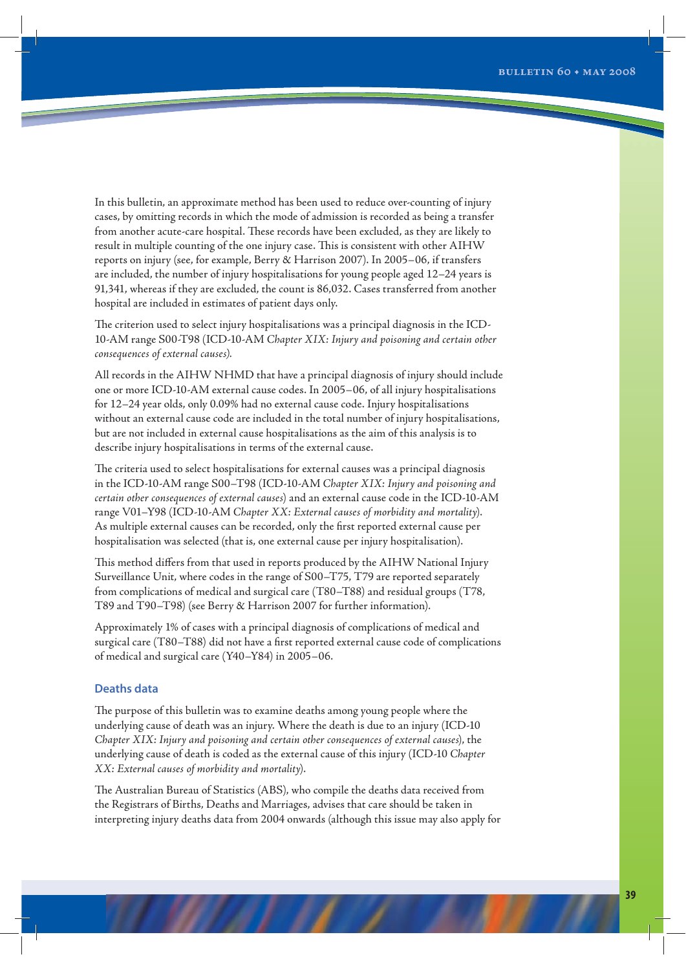In this bulletin, an approximate method has been used to reduce over-counting of injury cases, by omitting records in which the mode of admission is recorded as being a transfer from another acute-care hospital. These records have been excluded, as they are likely to result in multiple counting of the one injury case. This is consistent with other AIHW reports on injury (see, for example, Berry & Harrison 2007). In 2005–06, if transfers are included, the number of injury hospitalisations for young people aged 12–24 years is 91,341, whereas if they are excluded, the count is 86,032. Cases transferred from another hospital are included in estimates of patient days only.

The criterion used to select injury hospitalisations was a principal diagnosis in the ICD-10-AM range S00-T98 (ICD-10-AM *Chapter XIX: Injury and poisoning and certain other consequences of external causes).*

All records in the AIHW NHMD that have a principal diagnosis of injury should include one or more ICD-10-AM external cause codes. In 2005–06, of all injury hospitalisations for 12–24 year olds, only 0.09% had no external cause code. Injury hospitalisations without an external cause code are included in the total number of injury hospitalisations, but are not included in external cause hospitalisations as the aim of this analysis is to describe injury hospitalisations in terms of the external cause.

The criteria used to select hospitalisations for external causes was a principal diagnosis in the ICD-10-AM range S00–T98 (ICD-10-AM *Chapter XIX: Injury and poisoning and certain other consequences of external causes*) and an external cause code in the ICD-10-AM range V01–Y98 (ICD-10-AM *Chapter XX: External causes of morbidity and mortality*). As multiple external causes can be recorded, only the first reported external cause per hospitalisation was selected (that is, one external cause per injury hospitalisation).

This method differs from that used in reports produced by the AIHW National Injury Surveillance Unit, where codes in the range of S00–T75, T79 are reported separately from complications of medical and surgical care (T80–T88) and residual groups (T78, T89 and T90–T98) (see Berry & Harrison 2007 for further information).

Approximately 1% of cases with a principal diagnosis of complications of medical and surgical care (T80–T88) did not have a first reported external cause code of complications of medical and surgical care (Y40–Y84) in 2005–06.

## **Deaths data**

The purpose of this bulletin was to examine deaths among young people where the underlying cause of death was an injury. Where the death is due to an injury (ICD-10 *Chapter XIX: Injury and poisoning and certain other consequences of external causes*), the underlying cause of death is coded as the external cause of this injury (ICD-10 *Chapter XX: External causes of morbidity and mortality*).

The Australian Bureau of Statistics (ABS), who compile the deaths data received from the Registrars of Births, Deaths and Marriages, advises that care should be taken in interpreting injury deaths data from 2004 onwards (although this issue may also apply for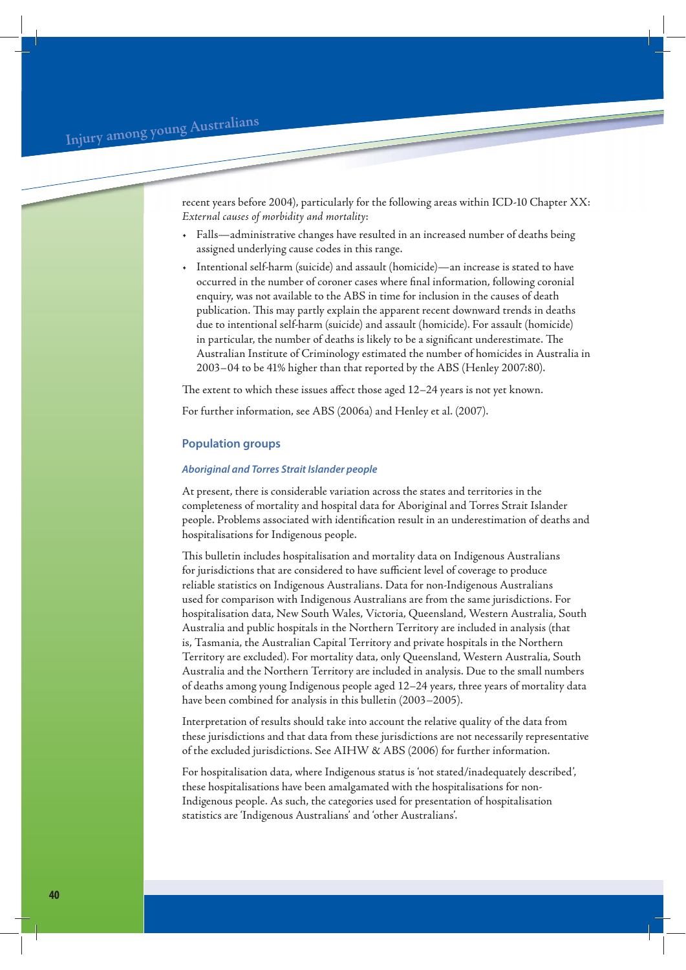recent years before 2004), particularly for the following areas within ICD-10 Chapter XX: *External causes of morbidity and mortality*:

- Falls—administrative changes have resulted in an increased number of deaths being assigned underlying cause codes in this range.
- Intentional self-harm (suicide) and assault (homicide)—an increase is stated to have occurred in the number of coroner cases where final information, following coronial enquiry, was not available to the ABS in time for inclusion in the causes of death publication. This may partly explain the apparent recent downward trends in deaths due to intentional self-harm (suicide) and assault (homicide). For assault (homicide) in particular, the number of deaths is likely to be a significant underestimate. The Australian Institute of Criminology estimated the number of homicides in Australia in 2003–04 to be 41% higher than that reported by the ABS (Henley 2007:80).

The extent to which these issues affect those aged 12–24 years is not yet known.

For further information, see ABS (2006a) and Henley et al. (2007).

## **Population groups**

## *Aboriginal and Torres Strait Islander people*

At present, there is considerable variation across the states and territories in the completeness of mortality and hospital data for Aboriginal and Torres Strait Islander people. Problems associated with identification result in an underestimation of deaths and hospitalisations for Indigenous people.

This bulletin includes hospitalisation and mortality data on Indigenous Australians for jurisdictions that are considered to have sufficient level of coverage to produce reliable statistics on Indigenous Australians. Data for non-Indigenous Australians used for comparison with Indigenous Australians are from the same jurisdictions. For hospitalisation data, New South Wales, Victoria, Queensland, Western Australia, South Australia and public hospitals in the Northern Territory are included in analysis (that is, Tasmania, the Australian Capital Territory and private hospitals in the Northern Territory are excluded). For mortality data, only Queensland, Western Australia, South Australia and the Northern Territory are included in analysis. Due to the small numbers of deaths among young Indigenous people aged 12–24 years, three years of mortality data have been combined for analysis in this bulletin (2003−2005).

Interpretation of results should take into account the relative quality of the data from these jurisdictions and that data from these jurisdictions are not necessarily representative of the excluded jurisdictions. See AIHW & ABS (2006) for further information.

For hospitalisation data, where Indigenous status is 'not stated/inadequately described', these hospitalisations have been amalgamated with the hospitalisations for non-Indigenous people. As such, the categories used for presentation of hospitalisation statistics are 'Indigenous Australians' and 'other Australians'.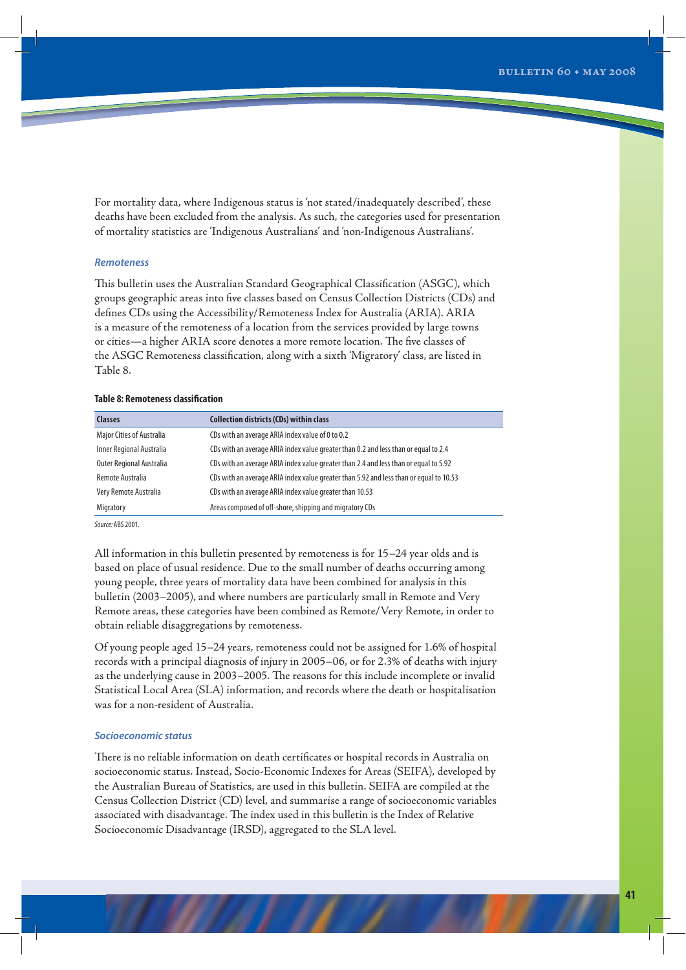For mortality data, where Indigenous status is 'not stated/inadequately described', these deaths have been excluded from the analysis. As such, the categories used for presentation of mortality statistics are 'Indigenous Australians' and 'non-Indigenous Australians'.

## *Remoteness*

This bulletin uses the Australian Standard Geographical Classification (ASGC), which groups geographic areas into five classes based on Census Collection Districts (CDs) and defines CDs using the Accessibility/Remoteness Index for Australia (ARIA). ARIA is a measure of the remoteness of a location from the services provided by large towns or cities—a higher ARIA score denotes a more remote location. The five classes of the ASGC Remoteness classification, along with a sixth 'Migratory' class, are listed in Table 8.

## **Table 8: Remoteness classification**

| <b>Classes</b>                   | <b>Collection districts (CDs) within class</b>                                         |
|----------------------------------|----------------------------------------------------------------------------------------|
| <b>Major Cities of Australia</b> | CDs with an average ARIA index value of 0 to 0.2                                       |
| Inner Regional Australia         | CDs with an average ARIA index value greater than 0.2 and less than or equal to 2.4    |
| <b>Outer Regional Australia</b>  | CDs with an average ARIA index value greater than 2.4 and less than or equal to 5.92   |
| Remote Australia                 | CDs with an average ARIA index value greater than 5.92 and less than or equal to 10.53 |
| Very Remote Australia            | CDs with an average ARIA index value greater than 10.53                                |
| Migratory                        | Areas composed of off-shore, shipping and migratory CDs                                |

Source: ABS 2001.

All information in this bulletin presented by remoteness is for 15–24 year olds and is based on place of usual residence. Due to the small number of deaths occurring among young people, three years of mortality data have been combined for analysis in this bulletin (2003–2005), and where numbers are particularly small in Remote and Very Remote areas, these categories have been combined as Remote/Very Remote, in order to obtain reliable disaggregations by remoteness.

Of young people aged 15–24 years, remoteness could not be assigned for 1.6% of hospital records with a principal diagnosis of injury in 2005–06, or for 2.3% of deaths with injury as the underlying cause in 2003–2005. The reasons for this include incomplete or invalid Statistical Local Area (SLA) information, and records where the death or hospitalisation was for a non-resident of Australia.

#### *Socioeconomic status*

There is no reliable information on death certificates or hospital records in Australia on socioeconomic status. Instead, Socio-Economic Indexes for Areas (SEIFA), developed by the Australian Bureau of Statistics, are used in this bulletin. SEIFA are compiled at the Census Collection District (CD) level, and summarise a range of socioeconomic variables associated with disadvantage. The index used in this bulletin is the Index of Relative Socioeconomic Disadvantage (IRSD), aggregated to the SLA level.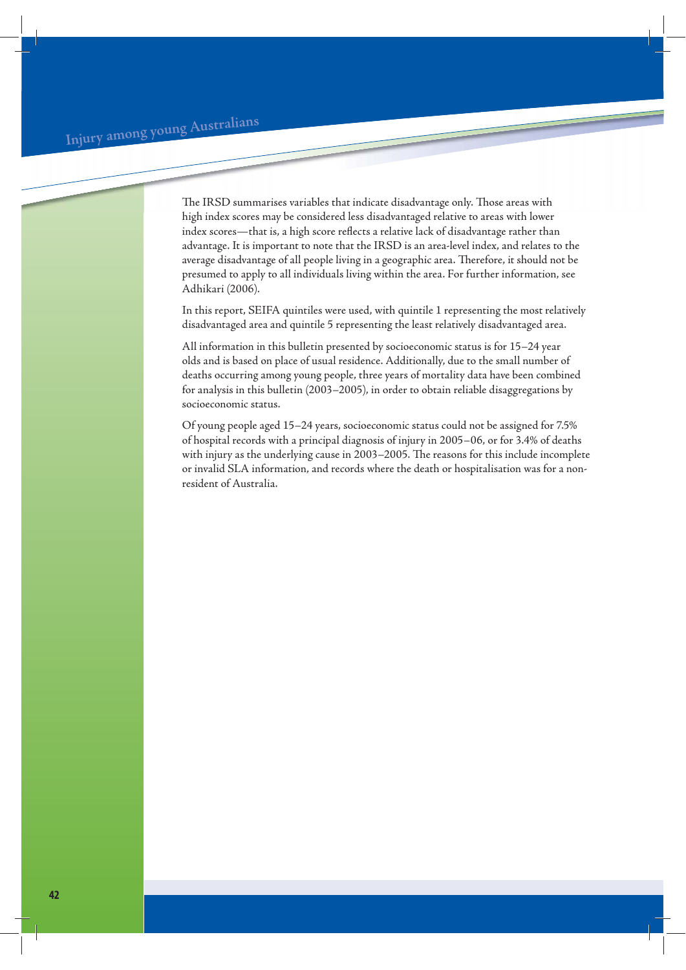The IRSD summarises variables that indicate disadvantage only. Those areas with high index scores may be considered less disadvantaged relative to areas with lower index scores—that is, a high score reflects a relative lack of disadvantage rather than advantage. It is important to note that the IRSD is an area-level index, and relates to the average disadvantage of all people living in a geographic area. Therefore, it should not be presumed to apply to all individuals living within the area. For further information, see Adhikari (2006).

In this report, SEIFA quintiles were used, with quintile 1 representing the most relatively disadvantaged area and quintile 5 representing the least relatively disadvantaged area.

All information in this bulletin presented by socioeconomic status is for 15–24 year olds and is based on place of usual residence. Additionally, due to the small number of deaths occurring among young people, three years of mortality data have been combined for analysis in this bulletin (2003–2005), in order to obtain reliable disaggregations by socioeconomic status.

Of young people aged 15–24 years, socioeconomic status could not be assigned for 7.5% of hospital records with a principal diagnosis of injury in 2005–06, or for 3.4% of deaths with injury as the underlying cause in 2003–2005. The reasons for this include incomplete or invalid SLA information, and records where the death or hospitalisation was for a nonresident of Australia.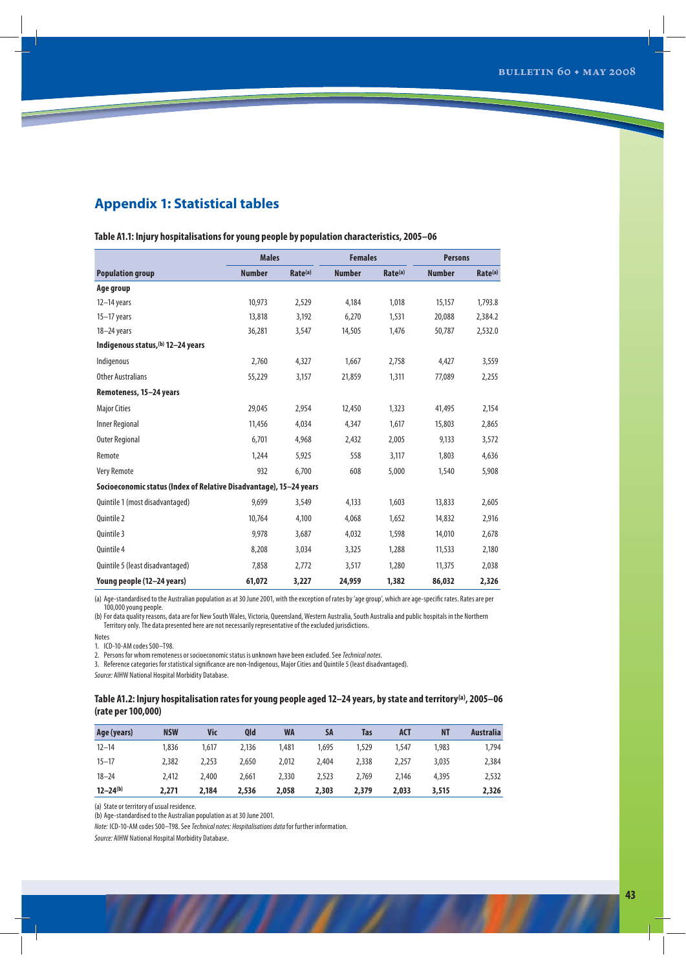## **Appendix 1: Statistical tables**

|                                                                    | <b>Males</b>  |                     | <b>Females</b> |                     | <b>Persons</b> |                     |
|--------------------------------------------------------------------|---------------|---------------------|----------------|---------------------|----------------|---------------------|
| <b>Population group</b>                                            | <b>Number</b> | Rate <sup>(a)</sup> | <b>Number</b>  | Rate <sup>(a)</sup> | <b>Number</b>  | Rate <sup>(a)</sup> |
| Age group                                                          |               |                     |                |                     |                |                     |
| $12 - 14$ years                                                    | 10.973        | 2,529               | 4,184          | 1.018               | 15.157         | 1,793.8             |
| $15-17$ years                                                      | 13,818        | 3,192               | 6,270          | 1,531               | 20,088         | 2,384.2             |
| $18 - 24$ years                                                    | 36,281        | 3,547               | 14,505         | 1,476               | 50,787         | 2,532.0             |
| Indigenous status, (b) 12-24 years                                 |               |                     |                |                     |                |                     |
| Indigenous                                                         | 2,760         | 4,327               | 1,667          | 2,758               | 4,427          | 3,559               |
| <b>Other Australians</b>                                           | 55,229        | 3,157               | 21,859         | 1,311               | 77,089         | 2,255               |
| Remoteness, 15-24 years                                            |               |                     |                |                     |                |                     |
| <b>Major Cities</b>                                                | 29,045        | 2,954               | 12,450         | 1,323               | 41,495         | 2,154               |
| <b>Inner Regional</b>                                              | 11,456        | 4,034               | 4,347          | 1,617               | 15,803         | 2,865               |
| <b>Outer Regional</b>                                              | 6,701         | 4,968               | 2,432          | 2,005               | 9,133          | 3,572               |
| Remote                                                             | 1,244         | 5,925               | 558            | 3,117               | 1,803          | 4,636               |
| <b>Very Remote</b>                                                 | 932           | 6,700               | 608            | 5,000               | 1,540          | 5,908               |
| Socioeconomic status (Index of Relative Disadvantage), 15-24 years |               |                     |                |                     |                |                     |
| Quintile 1 (most disadvantaged)                                    | 9,699         | 3,549               | 4,133          | 1,603               | 13,833         | 2,605               |
| Quintile 2                                                         | 10,764        | 4,100               | 4,068          | 1,652               | 14,832         | 2,916               |
| Ouintile 3                                                         | 9,978         | 3,687               | 4,032          | 1,598               | 14,010         | 2,678               |
| Quintile 4                                                         | 8,208         | 3,034               | 3,325          | 1,288               | 11,533         | 2,180               |
| Quintile 5 (least disadvantaged)                                   | 7,858         | 2,772               | 3,517          | 1,280               | 11,375         | 2,038               |
| Young people (12-24 years)                                         | 61,072        | 3,227               | 24,959         | 1,382               | 86,032         | 2,326               |

**Table A1.1: Injury hospitalisations for young people by population characteristics, 2005–06**

(a) Age-standardised to the Australian population as at 30 June 2001, with the exception of rates by 'age group', which are age-specific rates. Rates are per 100,000 young people.

(b) For data quality reasons, data are for New South Wales, Victoria, Queensland, Western Australia, South Australia and public hospitals in the Northern Territory only. The data presented here are not necessarily representative of the excluded jurisdictions.

Notes

1. ICD-10-AM codes S00–T98.

2. Persons for whom remoteness or socioeconomic status is unknown have been excluded. See Technical notes.

3. Reference categories for statistical significance are non-Indigenous, Major Cities and Quintile 5 (least disadvantaged).

Source: AIHW National Hospital Morbidity Database.

## **Table A1.2: Injury hospitalisation rates for young people aged 12–24 years, by state and territory(a), 2005–06 (rate per 100,000)**

| Age (years)  | <b>NSW</b> | Vic   | <b>Old</b> | <b>WA</b> | SA    | Tas   | <b>ACT</b> | <b>NT</b> | <b>Australia</b> |
|--------------|------------|-------|------------|-----------|-------|-------|------------|-----------|------------------|
| $12 - 14$    | 1.836      | 1.617 | 2.136      | 1.481     | 1.695 | 1,529 | 1,547      | 1.983     | 1,794            |
| $15 - 17$    | 2,382      | 2,253 | 2,650      | 2.012     | 2,404 | 2,338 | 2.257      | 3,035     | 2,384            |
| $18 - 24$    | 2,412      | 2,400 | 2.661      | 2,330     | 2,523 | 2.769 | 2.146      | 4,395     | 2,532            |
| $12 - 24(b)$ | 2,271      | 2.184 | 2,536      | 2,058     | 2,303 | 2,379 | 2,033      | 3,515     | 2,326            |

(a) State or territory of usual residence.

(b) Age-standardised to the Australian population as at 30 June 2001.

Note: ICD-10-AM codes S00–T98. See Technical notes: Hospitalisations data for further information.

Source: AIHW National Hospital Morbidity Database.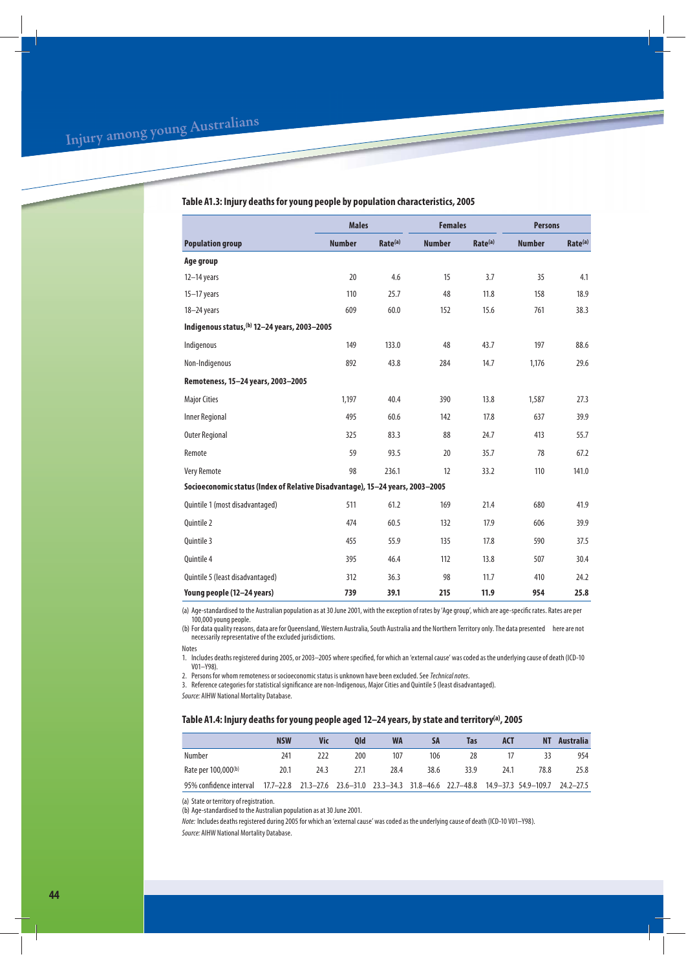## **Table A1.3: Injury deaths for young people by population characteristics, 2005**

|                                                                               | <b>Males</b>  |                     | <b>Females</b> |                     | <b>Persons</b> |         |  |
|-------------------------------------------------------------------------------|---------------|---------------------|----------------|---------------------|----------------|---------|--|
| <b>Population group</b>                                                       | <b>Number</b> | Rate <sup>(a)</sup> | <b>Number</b>  | Rate <sup>(a)</sup> | <b>Number</b>  | Rate(a) |  |
| Age group                                                                     |               |                     |                |                     |                |         |  |
| $12-14$ years                                                                 | 20            | 4.6                 | 15             | 3.7                 | 35             | 4.1     |  |
| $15-17$ years                                                                 | 110           | 25.7                | 48             | 11.8                | 158            | 18.9    |  |
| 18-24 years                                                                   | 609           | 60.0                | 152            | 15.6                | 761            | 38.3    |  |
| Indigenous status, (b) 12-24 years, 2003-2005                                 |               |                     |                |                     |                |         |  |
| Indigenous                                                                    | 149           | 133.0               | 48             | 43.7                | 197            | 88.6    |  |
| Non-Indigenous                                                                | 892           | 43.8                | 284            | 14.7                | 1,176          | 29.6    |  |
| Remoteness, 15-24 years, 2003-2005                                            |               |                     |                |                     |                |         |  |
| <b>Major Cities</b>                                                           | 1,197         | 40.4                | 390            | 13.8                | 1,587          | 27.3    |  |
| <b>Inner Regional</b>                                                         | 495           | 60.6                | 142            | 17.8                | 637            | 39.9    |  |
| <b>Outer Regional</b>                                                         | 325           | 83.3                | 88             | 24.7                | 413            | 55.7    |  |
| Remote                                                                        | 59            | 93.5                | 20             | 35.7                | 78             | 67.2    |  |
| <b>Very Remote</b>                                                            | 98            | 236.1               | 12             | 33.2                | 110            | 141.0   |  |
| Socioeconomic status (Index of Relative Disadvantage), 15-24 years, 2003-2005 |               |                     |                |                     |                |         |  |
| Quintile 1 (most disadvantaged)                                               | 511           | 61.2                | 169            | 21.4                | 680            | 41.9    |  |
| Quintile 2                                                                    | 474           | 60.5                | 132            | 17.9                | 606            | 39.9    |  |
| Quintile 3                                                                    | 455           | 55.9                | 135            | 17.8                | 590            | 37.5    |  |
| Ouintile 4                                                                    | 395           | 46.4                | 112            | 13.8                | 507            | 30.4    |  |
| Quintile 5 (least disadvantaged)                                              | 312           | 36.3                | 98             | 11.7                | 410            | 24.2    |  |
| Young people (12-24 years)                                                    | 739           | 39.1                | 215            | 11.9                | 954            | 25.8    |  |

(a) Age-standardised to the Australian population as at 30 June 2001, with the exception of rates by 'Age group', which are age-specific rates. Rates are per 100,000 young people.

(b) For data quality reasons, data are for Queensland, Western Australia, South Australia and the Northern Territory only. The data presented here are not necessarily representative of the excluded jurisdictions.

Notes

1. Includes deaths registered during 2005, or 2003–2005 where specified, for which an 'external cause' was coded as the underlying cause of death (ICD-10 V01–Y98).

2. Persons for whom remoteness or socioeconomic status is unknown have been excluded. See Technical notes.

3. Reference categories for statistical significance are non-Indigenous, Major Cities and Quintile 5 (least disadvantaged).

Source: AIHW National Mortality Database.

## **Table A1.4: Injury deaths for young people aged 12–24 years, by state and territory(a), 2005**

|                                                                                                                    | <b>NSW</b> | Vic  | 0ld  | <b>WA</b> | <b>SA</b> | Tas  | ACT  | NΤ   | Australia |
|--------------------------------------------------------------------------------------------------------------------|------------|------|------|-----------|-----------|------|------|------|-----------|
| Number                                                                                                             | 241        | 222  | 200  | 107       | 106       | 28   | 17   | 33   | 954       |
| Rate per 100,000 <sup>(b)</sup>                                                                                    | 20.1       | 24.3 | 27.1 | 28.4      | 38.6      | 33.9 | 24.1 | 78.8 | 25.8      |
| 95% confidence interval 17.7-22.8 21.3-27.6 23.6-31.0 23.3-34.3 31.8-46.6 22.7-48.8 14.9-37.3 54.9-109.7 24.2-27.5 |            |      |      |           |           |      |      |      |           |

(a) State or territory of registration.

(b) Age-standardised to the Australian population as at 30 June 2001.

Note: Includes deaths registered during 2005 for which an 'external cause' was coded as the underlying cause of death (ICD-10 V01–Y98). Source: AIHW National Mortality Database.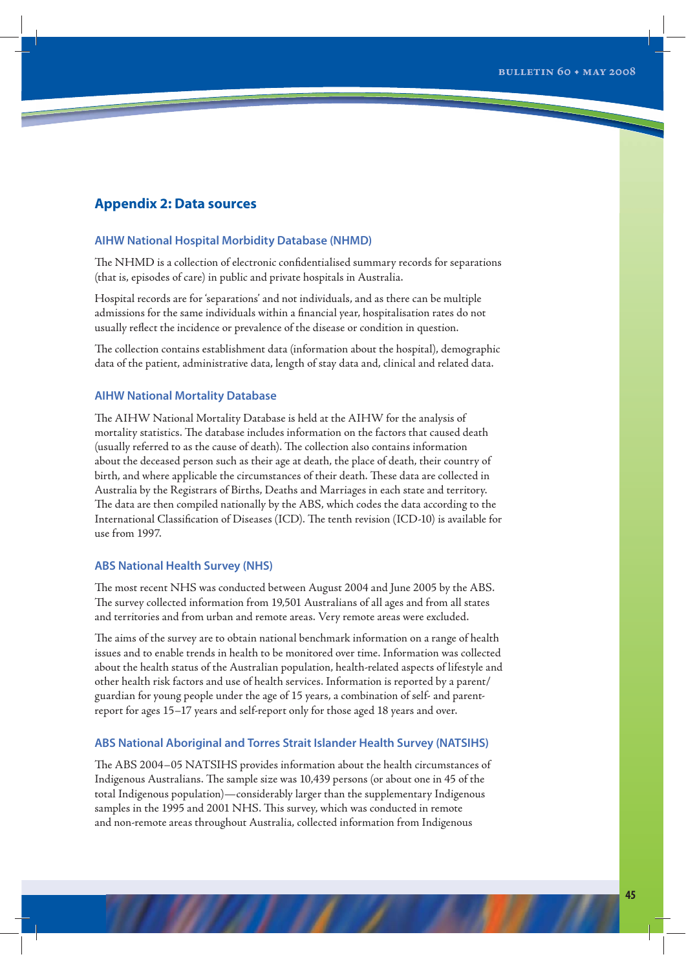## **Appendix 2: Data sources**

## **AIHW National Hospital Morbidity Database (NHMD)**

The NHMD is a collection of electronic confidentialised summary records for separations (that is, episodes of care) in public and private hospitals in Australia.

Hospital records are for 'separations' and not individuals, and as there can be multiple admissions for the same individuals within a financial year, hospitalisation rates do not usually reflect the incidence or prevalence of the disease or condition in question.

The collection contains establishment data (information about the hospital), demographic data of the patient, administrative data, length of stay data and, clinical and related data.

## **AIHW National Mortality Database**

The AIHW National Mortality Database is held at the AIHW for the analysis of mortality statistics. The database includes information on the factors that caused death (usually referred to as the cause of death). The collection also contains information about the deceased person such as their age at death, the place of death, their country of birth, and where applicable the circumstances of their death. These data are collected in Australia by the Registrars of Births, Deaths and Marriages in each state and territory. The data are then compiled nationally by the ABS, which codes the data according to the International Classification of Diseases (ICD). The tenth revision (ICD-10) is available for use from 1997.

## **ABS National Health Survey (NHS)**

The most recent NHS was conducted between August 2004 and June 2005 by the ABS. The survey collected information from 19,501 Australians of all ages and from all states and territories and from urban and remote areas. Very remote areas were excluded.

The aims of the survey are to obtain national benchmark information on a range of health issues and to enable trends in health to be monitored over time. Information was collected about the health status of the Australian population, health-related aspects of lifestyle and other health risk factors and use of health services. Information is reported by a parent/ guardian for young people under the age of 15 years, a combination of self- and parentreport for ages 15–17 years and self-report only for those aged 18 years and over.

## **ABS National Aboriginal and Torres Strait Islander Health Survey (NATSIHS)**

The ABS 2004–05 NATSIHS provides information about the health circumstances of Indigenous Australians. The sample size was 10,439 persons (or about one in 45 of the total Indigenous population)—considerably larger than the supplementary Indigenous samples in the 1995 and 2001 NHS. This survey, which was conducted in remote and non-remote areas throughout Australia, collected information from Indigenous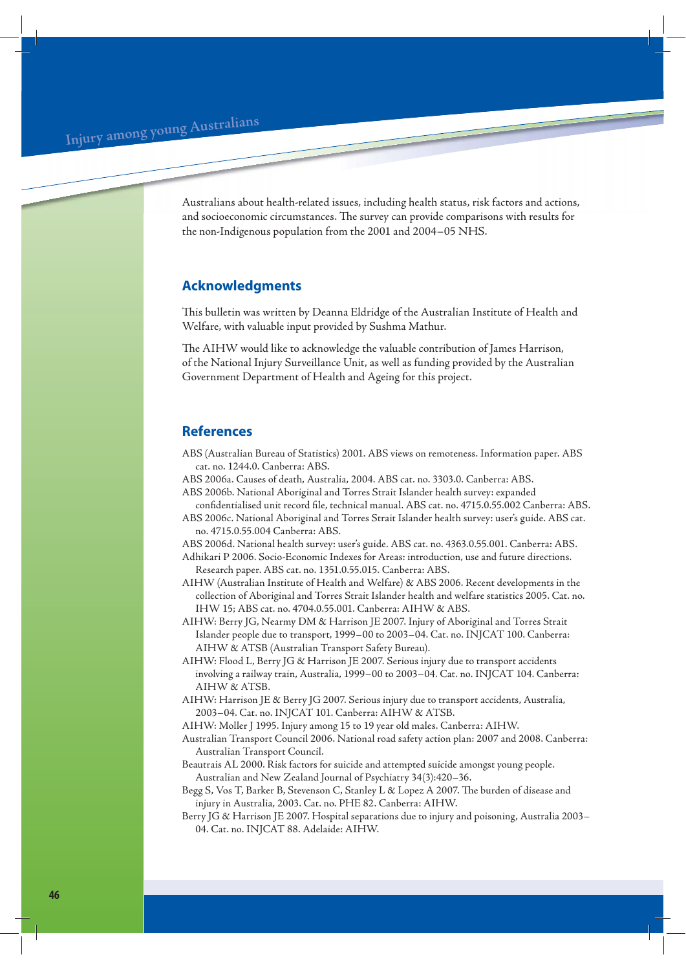**<sup>I</sup>nju<sup>r</sup><sup>y</sup> <sup>a</sup>mo<sup>n</sup><sup>g</sup> <sup>y</sup><sup>o</sup>u<sup>n</sup><sup>g</sup> <sup>A</sup>ustr<sup>a</sup>lian<sup>s</sup>**

Australians about health-related issues, including health status, risk factors and actions, and socioeconomic circumstances. The survey can provide comparisons with results for the non-Indigenous population from the 2001 and 2004–05 NHS.

## **Acknowledgments**

This bulletin was written by Deanna Eldridge of the Australian Institute of Health and Welfare, with valuable input provided by Sushma Mathur.

The AIHW would like to acknowledge the valuable contribution of James Harrison, of the National Injury Surveillance Unit, as well as funding provided by the Australian Government Department of Health and Ageing for this project.

## **References**

- ABS (Australian Bureau of Statistics) 2001. ABS views on remoteness. Information paper. ABS cat. no. 1244.0. Canberra: ABS.
- ABS 2006a. Causes of death, Australia, 2004. ABS cat. no. 3303.0. Canberra: ABS. ABS 2006b. National Aboriginal and Torres Strait Islander health survey: expanded
- confidentialised unit record file, technical manual. ABS cat. no. 4715.0.55.002 Canberra: ABS.
- ABS 2006c. National Aboriginal and Torres Strait Islander health survey: user's guide. ABS cat. no. 4715.0.55.004 Canberra: ABS.
- ABS 2006d. National health survey: user's guide. ABS cat. no. 4363.0.55.001. Canberra: ABS.
- Adhikari P 2006. Socio-Economic Indexes for Areas: introduction, use and future directions. Research paper. ABS cat. no. 1351.0.55.015. Canberra: ABS.
- AIHW (Australian Institute of Health and Welfare) & ABS 2006. Recent developments in the collection of Aboriginal and Torres Strait Islander health and welfare statistics 2005. Cat. no. IHW 15; ABS cat. no. 4704.0.55.001. Canberra: AIHW & ABS.
- AIHW: Berry JG, Nearmy DM & Harrison JE 2007. Injury of Aboriginal and Torres Strait Islander people due to transport, 1999–00 to 2003–04. Cat. no. INJCAT 100. Canberra: AIHW & ATSB (Australian Transport Safety Bureau).
- AIHW: Flood L, Berry JG & Harrison JE 2007. Serious injury due to transport accidents involving a railway train, Australia, 1999–00 to 2003–04. Cat. no. INJCAT 104. Canberra: AIHW & ATSB.
- AIHW: Harrison JE & Berry JG 2007. Serious injury due to transport accidents, Australia, 2003–04. Cat. no. INJCAT 101. Canberra: AIHW & ATSB.
- AIHW: Moller J 1995. Injury among 15 to 19 year old males. Canberra: AIHW.
- Australian Transport Council 2006. National road safety action plan: 2007 and 2008. Canberra: Australian Transport Council.
- Beautrais AL 2000. Risk factors for suicide and attempted suicide amongst young people. Australian and New Zealand Journal of Psychiatry 34(3):420–36.
- Begg S, Vos T, Barker B, Stevenson C, Stanley L & Lopez A 2007. The burden of disease and injury in Australia, 2003. Cat. no. PHE 82. Canberra: AIHW.
- Berry JG & Harrison JE 2007. Hospital separations due to injury and poisoning, Australia 2003– 04. Cat. no. INJCAT 88. Adelaide: AIHW.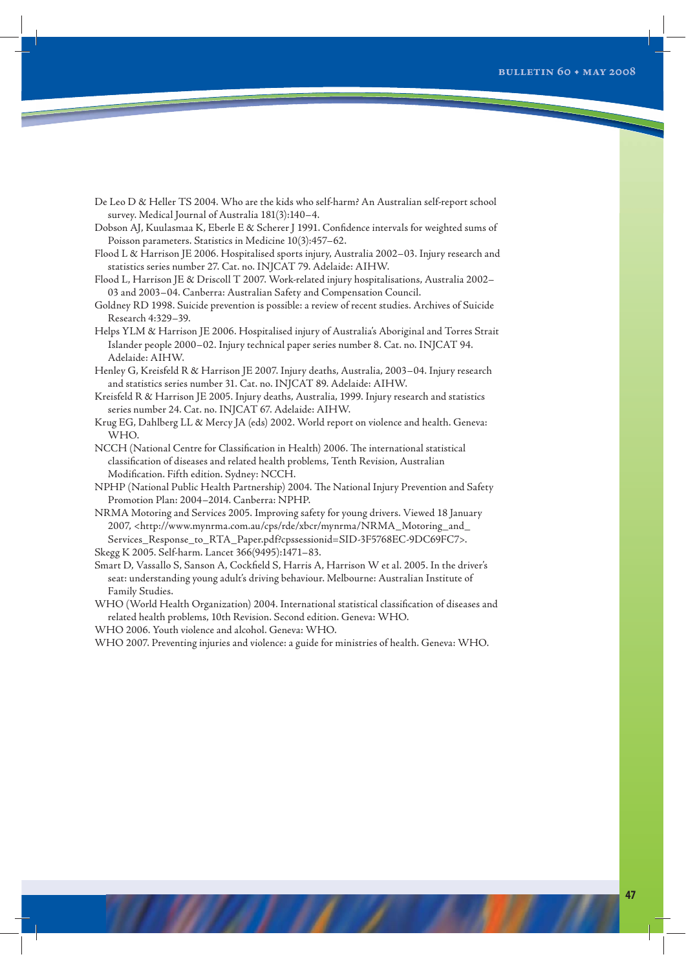De Leo D & Heller TS 2004. Who are the kids who self-harm? An Australian self-report school survey. Medical Journal of Australia 181(3):140–4.

Dobson AJ, Kuulasmaa K, Eberle E & Scherer J 1991. Confidence intervals for weighted sums of Poisson parameters. Statistics in Medicine 10(3):457–62.

- Flood L & Harrison JE 2006. Hospitalised sports injury, Australia 2002–03. Injury research and statistics series number 27. Cat. no. INJCAT 79. Adelaide: AIHW.
- Flood L, Harrison JE & Driscoll T 2007. Work-related injury hospitalisations, Australia 2002– 03 and 2003–04. Canberra: Australian Safety and Compensation Council.
- Goldney RD 1998. Suicide prevention is possible: a review of recent studies. Archives of Suicide Research 4:329–39.
- Helps YLM & Harrison JE 2006. Hospitalised injury of Australia's Aboriginal and Torres Strait Islander people 2000–02. Injury technical paper series number 8. Cat. no. INJCAT 94. Adelaide: AIHW.
- Henley G, Kreisfeld R & Harrison JE 2007. Injury deaths, Australia, 2003–04. Injury research and statistics series number 31. Cat. no. INJCAT 89. Adelaide: AIHW.
- Kreisfeld R & Harrison JE 2005. Injury deaths, Australia, 1999. Injury research and statistics series number 24. Cat. no. INJCAT 67. Adelaide: AIHW.
- Krug EG, Dahlberg LL & Mercy JA (eds) 2002. World report on violence and health. Geneva: WHO.
- NCCH (National Centre for Classification in Health) 2006. The international statistical classification of diseases and related health problems, Tenth Revision, Australian Modification. Fifth edition. Sydney: NCCH.
- NPHP (National Public Health Partnership) 2004. The National Injury Prevention and Safety Promotion Plan: 2004–2014. Canberra: NPHP.
- NRMA Motoring and Services 2005. Improving safety for young drivers. Viewed 18 January 2007, <http://www.mynrma.com.au/cps/rde/xbcr/mynrma/NRMA\_Motoring\_and\_ Services\_Response\_to\_RTA\_Paper.pdf?cpssessionid=SID-3F5768EC-9DC69FC7>. Skegg K 2005. Self-harm. Lancet 366(9495):1471–83.
- Smart D, Vassallo S, Sanson A, Cockfield S, Harris A, Harrison W et al. 2005. In the driver's seat: understanding young adult's driving behaviour. Melbourne: Australian Institute of Family Studies.
- WHO (World Health Organization) 2004. International statistical classification of diseases and related health problems, 10th Revision. Second edition. Geneva: WHO.

WHO 2006. Youth violence and alcohol. Geneva: WHO.

WHO 2007. Preventing injuries and violence: a guide for ministries of health. Geneva: WHO.